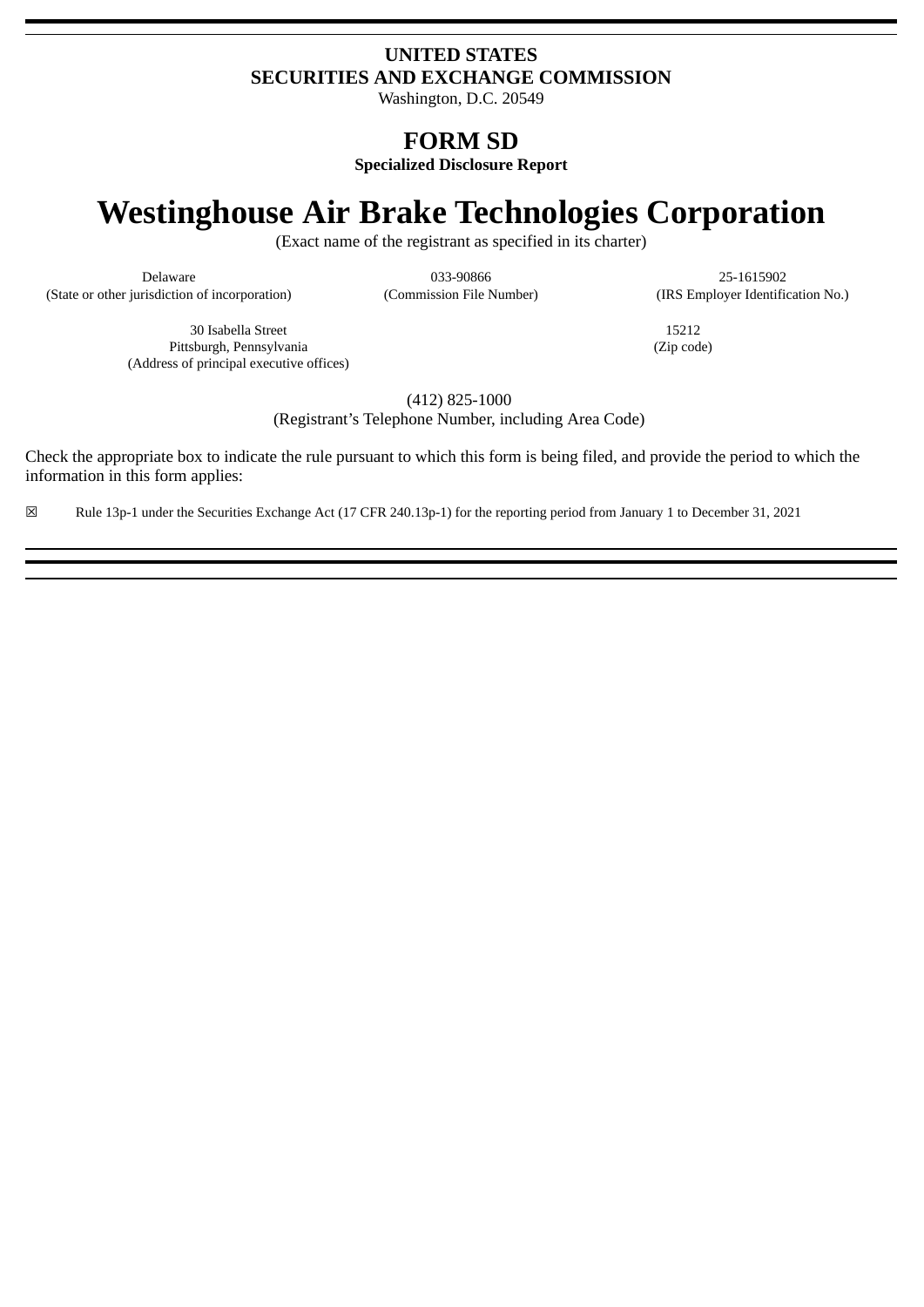# **UNITED STATES SECURITIES AND EXCHANGE COMMISSION**

Washington, D.C. 20549

# **FORM SD**

**Specialized Disclosure Report**

# **Westinghouse Air Brake Technologies Corporation**

(Exact name of the registrant as specified in its charter)

(State or other jurisdiction of incorporation) (Commission File Number) (IRS Employer Identification No.)

Delaware 033-90866 25-1615902

30 Isabella Street Pittsburgh, Pennsylvania (Address of principal executive offices)

15212 (Zip code)

(412) 825-1000

(Registrant's Telephone Number, including Area Code)

Check the appropriate box to indicate the rule pursuant to which this form is being filed, and provide the period to which the information in this form applies:

☒ Rule 13p-1 under the Securities Exchange Act (17 CFR 240.13p-1) for the reporting period from January 1 to December 31, 2021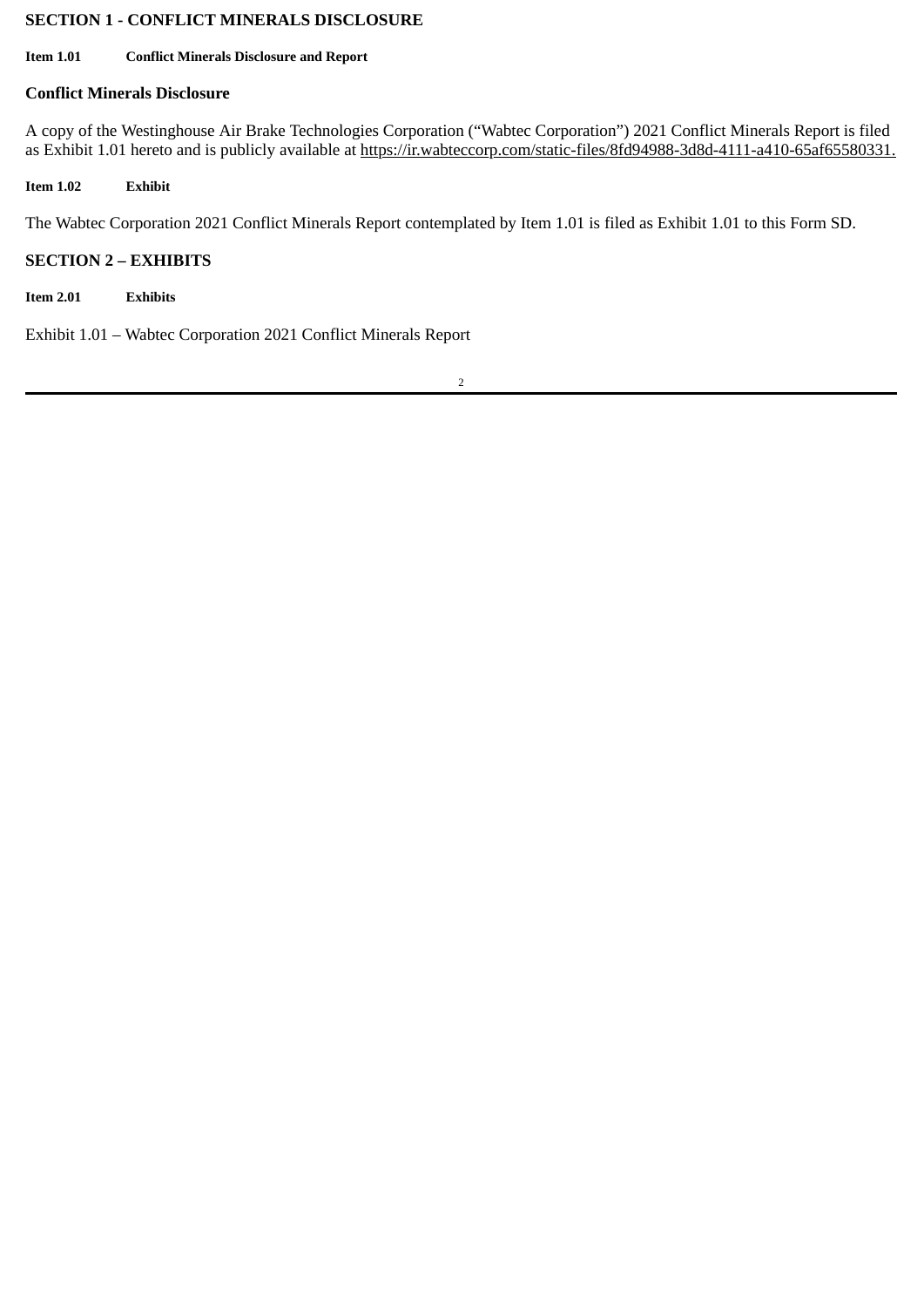# **SECTION 1 - CONFLICT MINERALS DISCLOSURE**

#### **Item 1.01 Conflict Minerals Disclosure and Report**

## **Conflict Minerals Disclosure**

A copy of the Westinghouse Air Brake Technologies Corporation ("Wabtec Corporation") 2021 Conflict Minerals Report is filed as Exhibit 1.01 hereto and is publicly available at https://ir.wabteccorp.com/static-files/8fd94988-3d8d-4111-a410-65af65580331.

**Item 1.02 Exhibit**

The Wabtec Corporation 2021 Conflict Minerals Report contemplated by Item 1.01 is filed as Exhibit 1.01 to this Form SD.

# **SECTION 2 – EXHIBITS**

**Item 2.01 Exhibits**

Exhibit 1.01 – Wabtec Corporation 2021 Conflict Minerals Report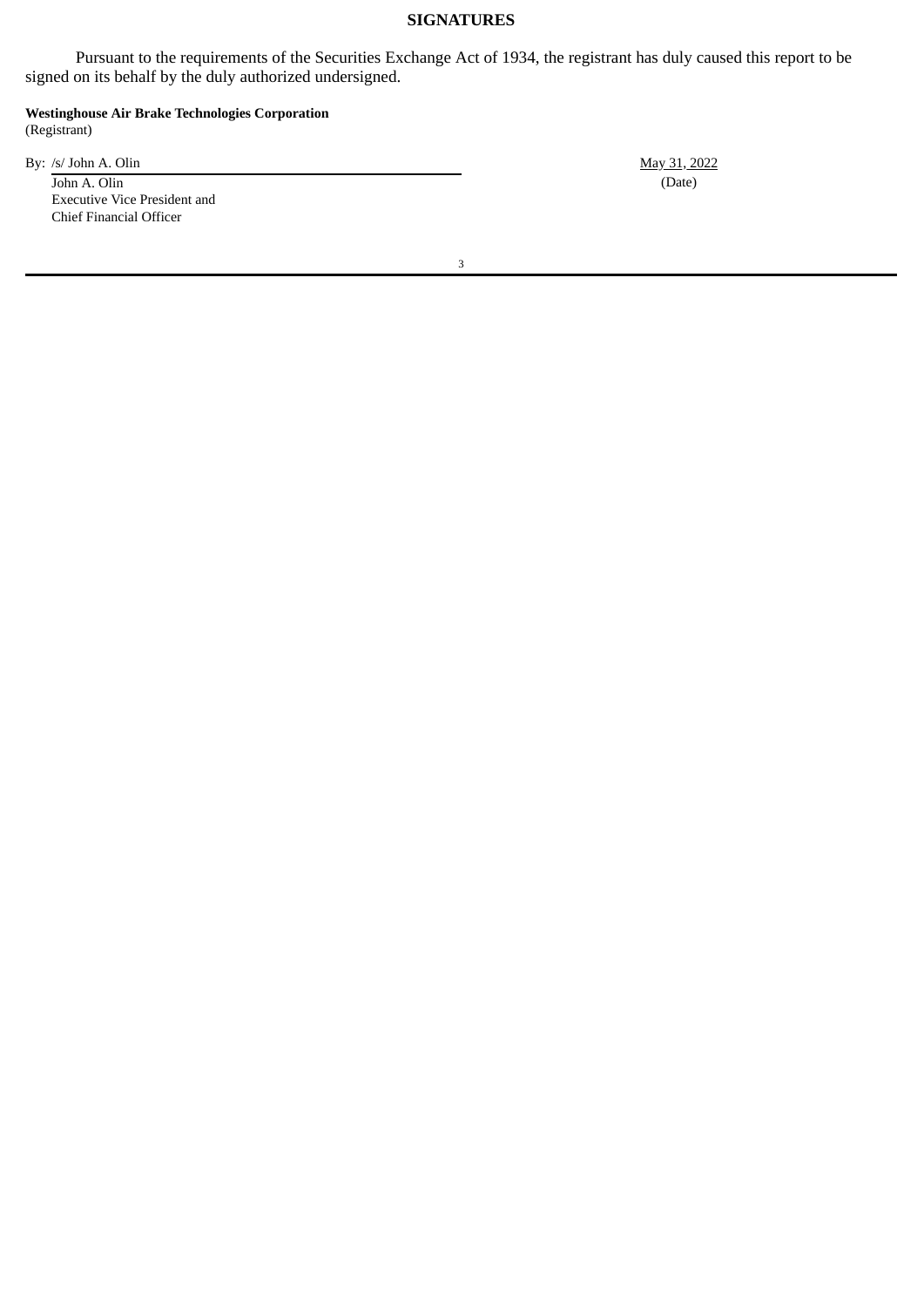#### **SIGNATURES**

Pursuant to the requirements of the Securities Exchange Act of 1934, the registrant has duly caused this report to be signed on its behalf by the duly authorized undersigned.

**Westinghouse Air Brake Technologies Corporation** (Registrant)

By: /s/ John A. Olin May 31, 2022

John A. Olin (Date) Executive Vice President and Chief Financial Officer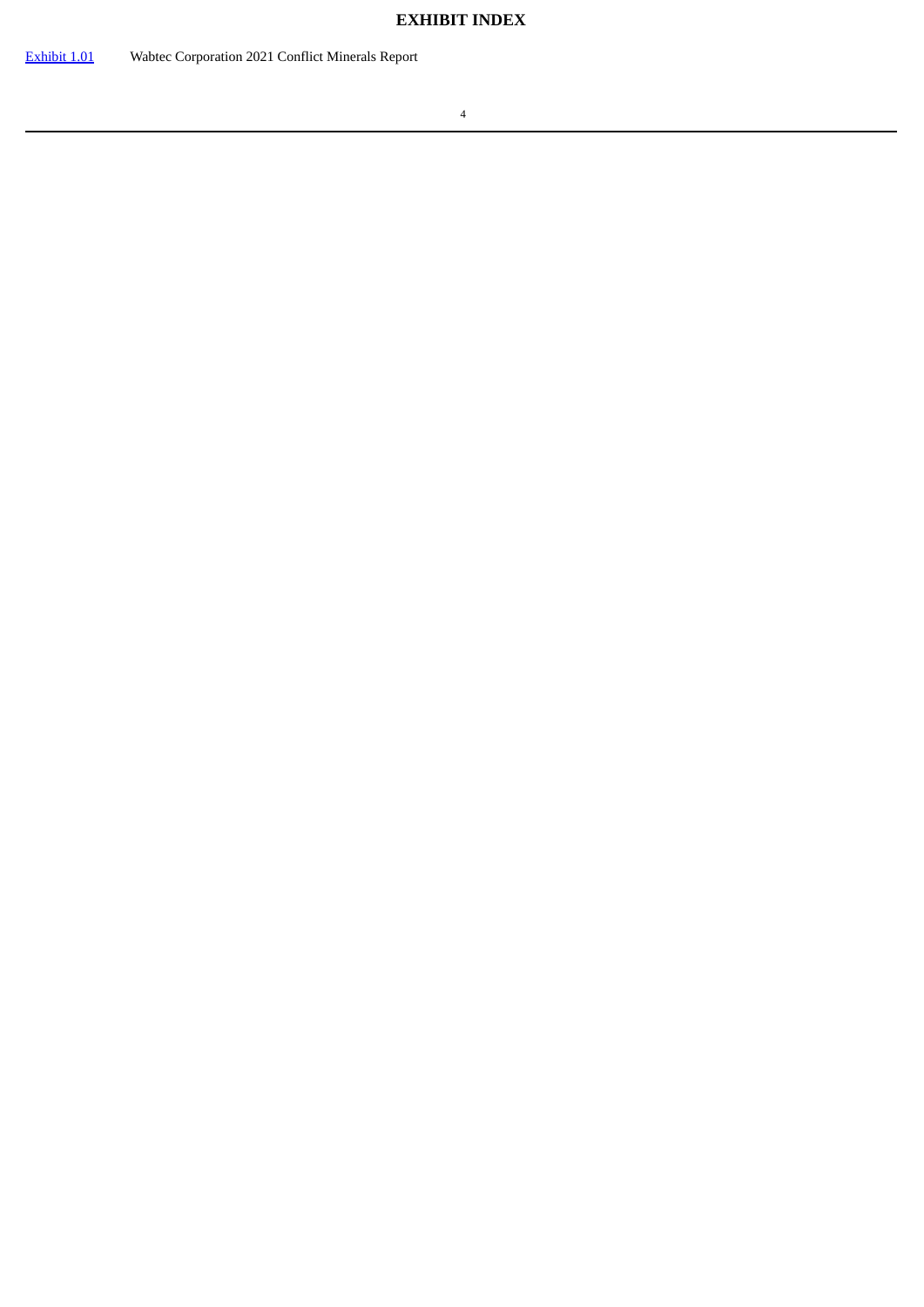# **EXHIBIT INDEX**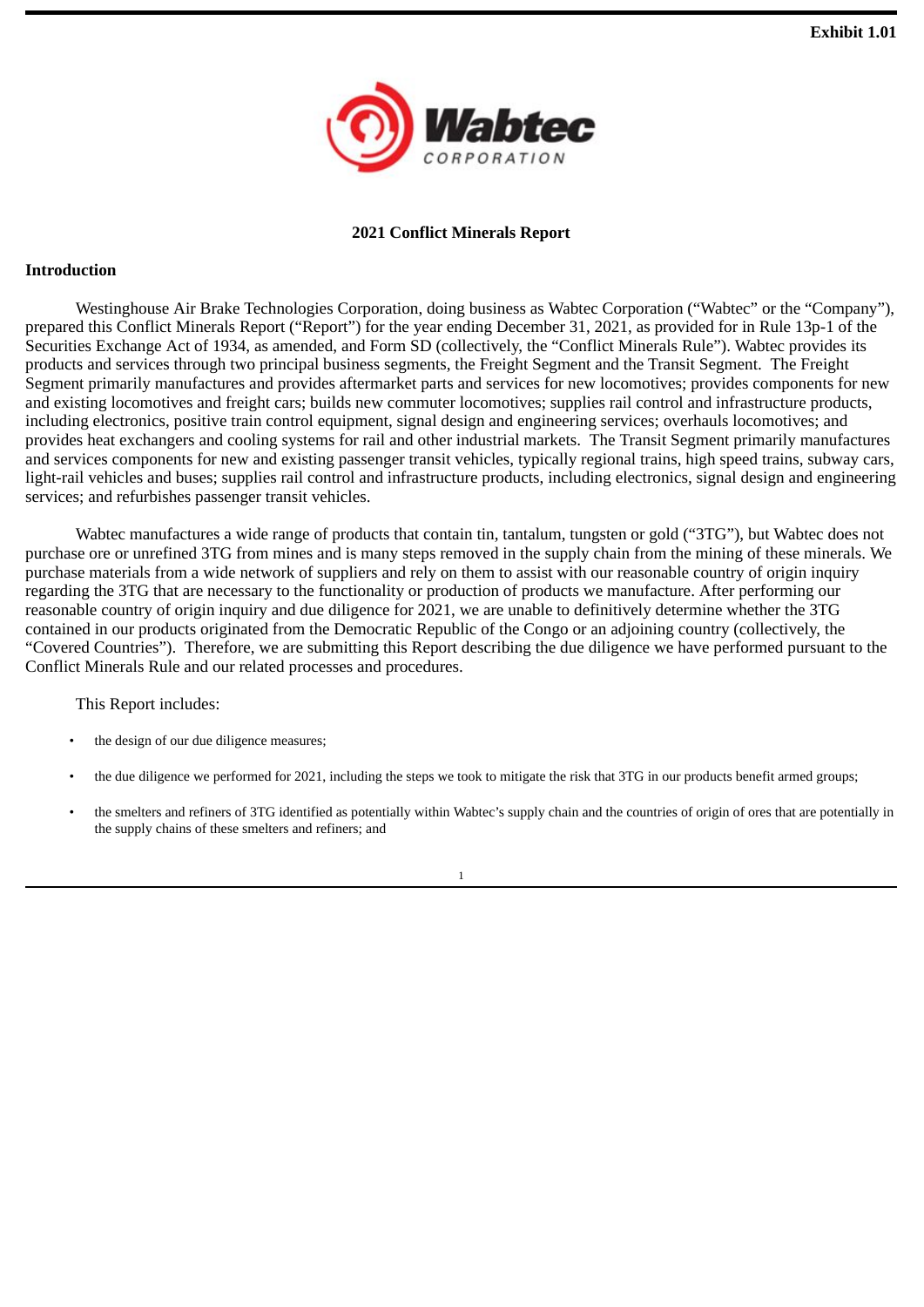

# **2021 Conflict Minerals Report**

#### <span id="page-4-0"></span>**Introduction**

Westinghouse Air Brake Technologies Corporation, doing business as Wabtec Corporation ("Wabtec" or the "Company"), prepared this Conflict Minerals Report ("Report") for the year ending December 31, 2021, as provided for in Rule 13p-1 of the Securities Exchange Act of 1934, as amended, and Form SD (collectively, the "Conflict Minerals Rule"). Wabtec provides its products and services through two principal business segments, the Freight Segment and the Transit Segment. The Freight Segment primarily manufactures and provides aftermarket parts and services for new locomotives; provides components for new and existing locomotives and freight cars; builds new commuter locomotives; supplies rail control and infrastructure products, including electronics, positive train control equipment, signal design and engineering services; overhauls locomotives; and provides heat exchangers and cooling systems for rail and other industrial markets. The Transit Segment primarily manufactures and services components for new and existing passenger transit vehicles, typically regional trains, high speed trains, subway cars, light-rail vehicles and buses; supplies rail control and infrastructure products, including electronics, signal design and engineering services; and refurbishes passenger transit vehicles.

Wabtec manufactures a wide range of products that contain tin, tantalum, tungsten or gold ("3TG"), but Wabtec does not purchase ore or unrefined 3TG from mines and is many steps removed in the supply chain from the mining of these minerals. We purchase materials from a wide network of suppliers and rely on them to assist with our reasonable country of origin inquiry regarding the 3TG that are necessary to the functionality or production of products we manufacture. After performing our reasonable country of origin inquiry and due diligence for 2021, we are unable to definitively determine whether the 3TG contained in our products originated from the Democratic Republic of the Congo or an adjoining country (collectively, the "Covered Countries"). Therefore, we are submitting this Report describing the due diligence we have performed pursuant to the Conflict Minerals Rule and our related processes and procedures.

This Report includes:

- the design of our due diligence measures;
- the due diligence we performed for 2021, including the steps we took to mitigate the risk that 3TG in our products benefit armed groups;
- the smelters and refiners of 3TG identified as potentially within Wabtec's supply chain and the countries of origin of ores that are potentially in the supply chains of these smelters and refiners; and

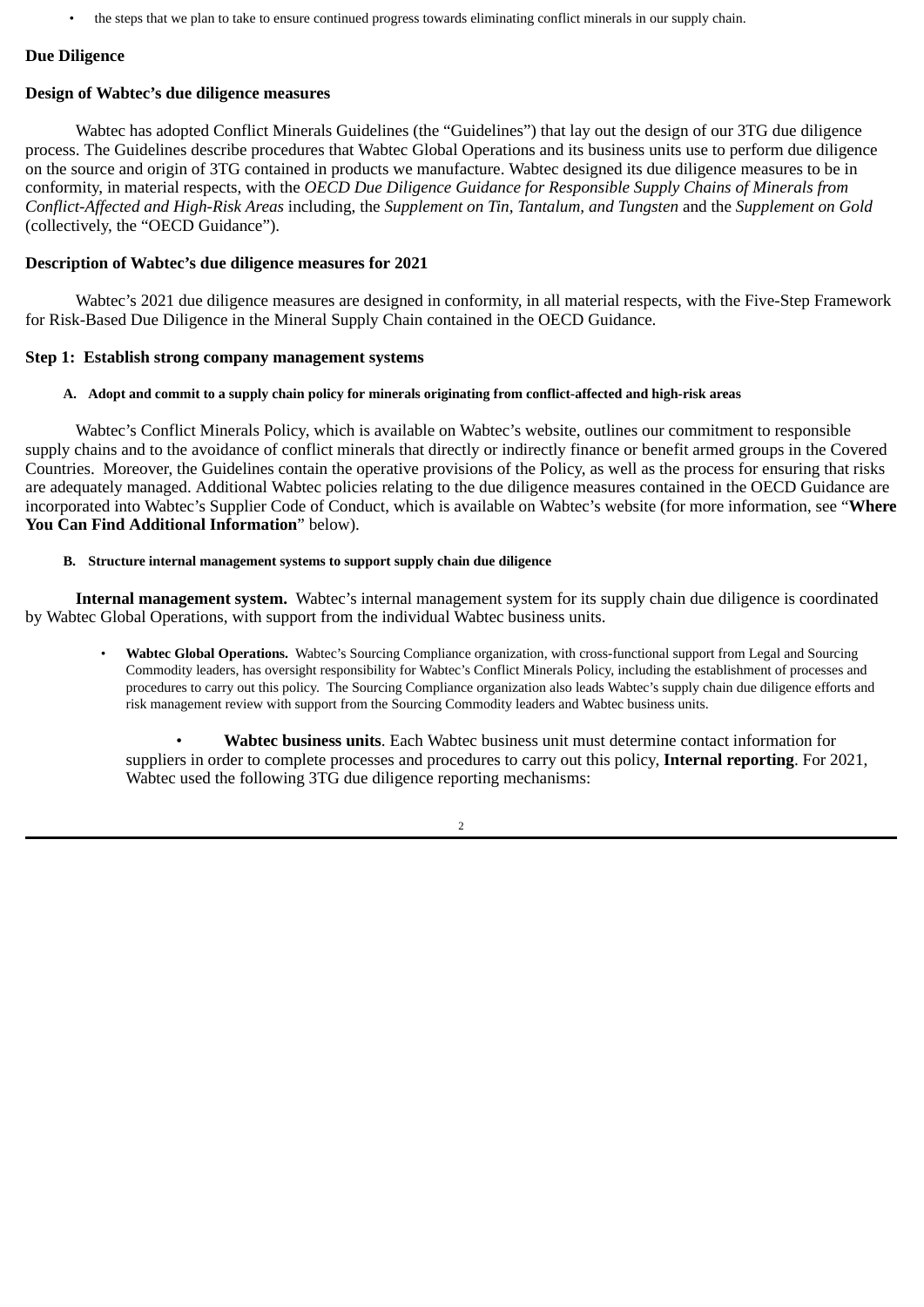• the steps that we plan to take to ensure continued progress towards eliminating conflict minerals in our supply chain.

#### **Due Diligence**

#### **Design of Wabtec's due diligence measures**

Wabtec has adopted Conflict Minerals Guidelines (the "Guidelines") that lay out the design of our 3TG due diligence process. The Guidelines describe procedures that Wabtec Global Operations and its business units use to perform due diligence on the source and origin of 3TG contained in products we manufacture. Wabtec designed its due diligence measures to be in conformity, in material respects, with the *OECD Due Diligence Guidance for Responsible Supply Chains of Minerals from Conflict-Affected and High-Risk Areas* including, the *Supplement on Tin, Tantalum, and Tungsten* and the *Supplement on Gold* (collectively, the "OECD Guidance").

#### **Description of Wabtec's due diligence measures for 2021**

Wabtec's 2021 due diligence measures are designed in conformity, in all material respects, with the Five-Step Framework for Risk-Based Due Diligence in the Mineral Supply Chain contained in the OECD Guidance*.*

#### **Step 1: Establish strong company management systems**

#### A. Adopt and commit to a supply chain policy for minerals originating from conflict-affected and high-risk areas

Wabtec's Conflict Minerals Policy, which is available on Wabtec's website, outlines our commitment to responsible supply chains and to the avoidance of conflict minerals that directly or indirectly finance or benefit armed groups in the Covered Countries. Moreover, the Guidelines contain the operative provisions of the Policy, as well as the process for ensuring that risks are adequately managed. Additional Wabtec policies relating to the due diligence measures contained in the OECD Guidance are incorporated into Wabtec's Supplier Code of Conduct, which is available on Wabtec's website (for more information, see "**Where You Can Find Additional Information**" below).

#### **B. Structure internal management systems to support supply chain due diligence**

**Internal management system.** Wabtec's internal management system for its supply chain due diligence is coordinated by Wabtec Global Operations, with support from the individual Wabtec business units.

• **Wabtec Global Operations.** Wabtec's Sourcing Compliance organization, with cross-functional support from Legal and Sourcing Commodity leaders, has oversight responsibility for Wabtec's Conflict Minerals Policy, including the establishment of processes and procedures to carry out this policy. The Sourcing Compliance organization also leads Wabtec's supply chain due diligence efforts and risk management review with support from the Sourcing Commodity leaders and Wabtec business units.

• **Wabtec business units**. Each Wabtec business unit must determine contact information for suppliers in order to complete processes and procedures to carry out this policy, **Internal reporting**. For 2021, Wabtec used the following 3TG due diligence reporting mechanisms:

 $\overline{2}$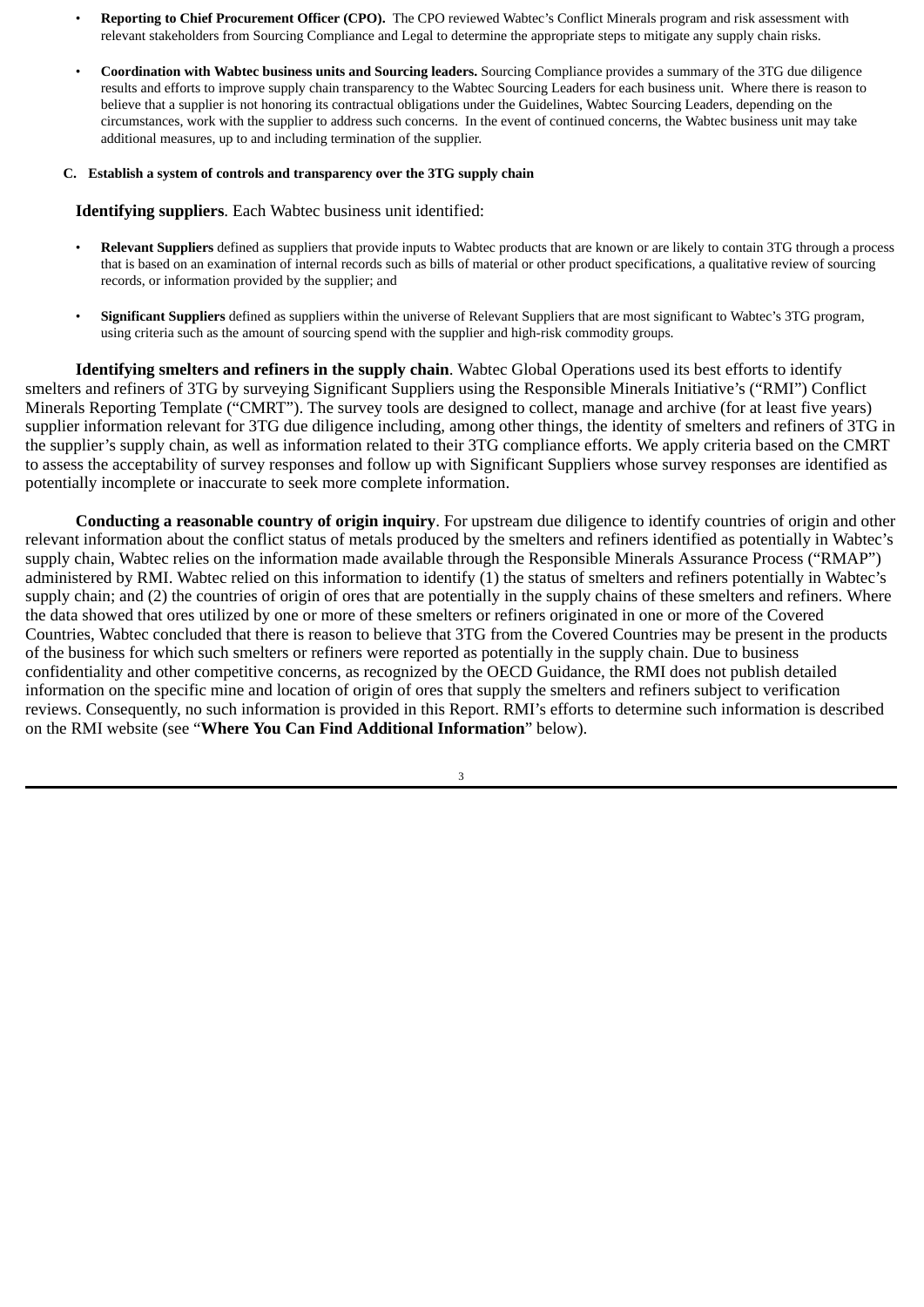- **Reporting to Chief Procurement Officer (CPO).** The CPO reviewed Wabtec's Conflict Minerals program and risk assessment with relevant stakeholders from Sourcing Compliance and Legal to determine the appropriate steps to mitigate any supply chain risks.
- **Coordination with Wabtec business units and Sourcing leaders.** Sourcing Compliance provides a summary of the 3TG due diligence results and efforts to improve supply chain transparency to the Wabtec Sourcing Leaders for each business unit. Where there is reason to believe that a supplier is not honoring its contractual obligations under the Guidelines, Wabtec Sourcing Leaders, depending on the circumstances, work with the supplier to address such concerns. In the event of continued concerns, the Wabtec business unit may take additional measures, up to and including termination of the supplier.

#### **C. Establish a system of controls and transparency over the 3TG supply chain**

#### **Identifying suppliers**. Each Wabtec business unit identified:

- **Relevant Suppliers** defined as suppliers that provide inputs to Wabtec products that are known or are likely to contain 3TG through a process that is based on an examination of internal records such as bills of material or other product specifications, a qualitative review of sourcing records, or information provided by the supplier; and
- **Significant Suppliers** defined as suppliers within the universe of Relevant Suppliers that are most significant to Wabtec's 3TG program, using criteria such as the amount of sourcing spend with the supplier and high-risk commodity groups.

**Identifying smelters and refiners in the supply chain**. Wabtec Global Operations used its best efforts to identify smelters and refiners of 3TG by surveying Significant Suppliers using the Responsible Minerals Initiative's ("RMI") Conflict Minerals Reporting Template ("CMRT"). The survey tools are designed to collect, manage and archive (for at least five years) supplier information relevant for 3TG due diligence including, among other things, the identity of smelters and refiners of 3TG in the supplier's supply chain, as well as information related to their 3TG compliance efforts. We apply criteria based on the CMRT to assess the acceptability of survey responses and follow up with Significant Suppliers whose survey responses are identified as potentially incomplete or inaccurate to seek more complete information.

**Conducting a reasonable country of origin inquiry**. For upstream due diligence to identify countries of origin and other relevant information about the conflict status of metals produced by the smelters and refiners identified as potentially in Wabtec's supply chain, Wabtec relies on the information made available through the Responsible Minerals Assurance Process ("RMAP") administered by RMI. Wabtec relied on this information to identify (1) the status of smelters and refiners potentially in Wabtec's supply chain; and (2) the countries of origin of ores that are potentially in the supply chains of these smelters and refiners. Where the data showed that ores utilized by one or more of these smelters or refiners originated in one or more of the Covered Countries, Wabtec concluded that there is reason to believe that 3TG from the Covered Countries may be present in the products of the business for which such smelters or refiners were reported as potentially in the supply chain. Due to business confidentiality and other competitive concerns, as recognized by the OECD Guidance*,* the RMI does not publish detailed information on the specific mine and location of origin of ores that supply the smelters and refiners subject to verification reviews. Consequently, no such information is provided in this Report. RMI's efforts to determine such information is described on the RMI website (see "**Where You Can Find Additional Information**" below).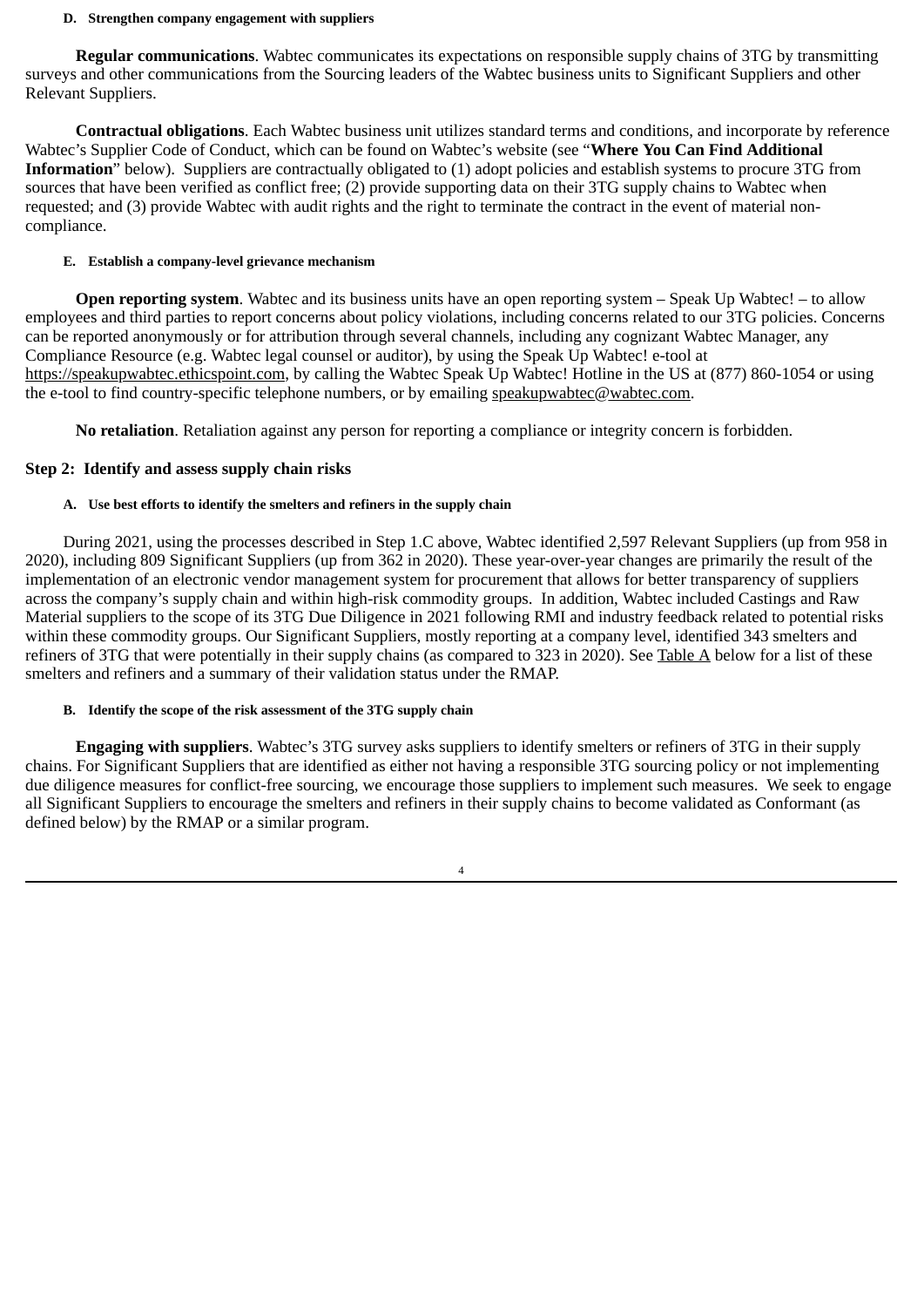#### **D. Strengthen company engagement with suppliers**

**Regular communications**. Wabtec communicates its expectations on responsible supply chains of 3TG by transmitting surveys and other communications from the Sourcing leaders of the Wabtec business units to Significant Suppliers and other Relevant Suppliers.

**Contractual obligations**. Each Wabtec business unit utilizes standard terms and conditions, and incorporate by reference Wabtec's Supplier Code of Conduct, which can be found on Wabtec's website (see "**Where You Can Find Additional Information**" below). Suppliers are contractually obligated to (1) adopt policies and establish systems to procure 3TG from sources that have been verified as conflict free; (2) provide supporting data on their 3TG supply chains to Wabtec when requested; and (3) provide Wabtec with audit rights and the right to terminate the contract in the event of material noncompliance.

#### **E. Establish a company-level grievance mechanism**

**Open reporting system**. Wabtec and its business units have an open reporting system – Speak Up Wabtec! – to allow employees and third parties to report concerns about policy violations, including concerns related to our 3TG policies. Concerns can be reported anonymously or for attribution through several channels, including any cognizant Wabtec Manager, any Compliance Resource (e.g. Wabtec legal counsel or auditor), by using the Speak Up Wabtec! e-tool at https://speakupwabtec.ethicspoint.com, by calling the Wabtec Speak Up Wabtec! Hotline in the US at (877) 860-1054 or using the e-tool to find country-specific telephone numbers, or by emailing speakupwabtec@wabtec.com.

**No retaliation**. Retaliation against any person for reporting a compliance or integrity concern is forbidden.

# **Step 2: Identify and assess supply chain risks**

## **A. Use best efforts to identify the smelters and refiners in the supply chain**

During 2021, using the processes described in Step 1.C above, Wabtec identified 2,597 Relevant Suppliers (up from 958 in 2020), including 809 Significant Suppliers (up from 362 in 2020). These year-over-year changes are primarily the result of the implementation of an electronic vendor management system for procurement that allows for better transparency of suppliers across the company's supply chain and within high-risk commodity groups. In addition, Wabtec included Castings and Raw Material suppliers to the scope of its 3TG Due Diligence in 2021 following RMI and industry feedback related to potential risks within these commodity groups. Our Significant Suppliers, mostly reporting at a company level, identified 343 smelters and refiners of 3TG that were potentially in their supply chains (as compared to 323 in 2020). See Table A below for a list of these smelters and refiners and a summary of their validation status under the RMAP.

## **B. Identify the scope of the risk assessment of the 3TG supply chain**

**Engaging with suppliers**. Wabtec's 3TG survey asks suppliers to identify smelters or refiners of 3TG in their supply chains. For Significant Suppliers that are identified as either not having a responsible 3TG sourcing policy or not implementing due diligence measures for conflict-free sourcing, we encourage those suppliers to implement such measures. We seek to engage all Significant Suppliers to encourage the smelters and refiners in their supply chains to become validated as Conformant (as defined below) by the RMAP or a similar program.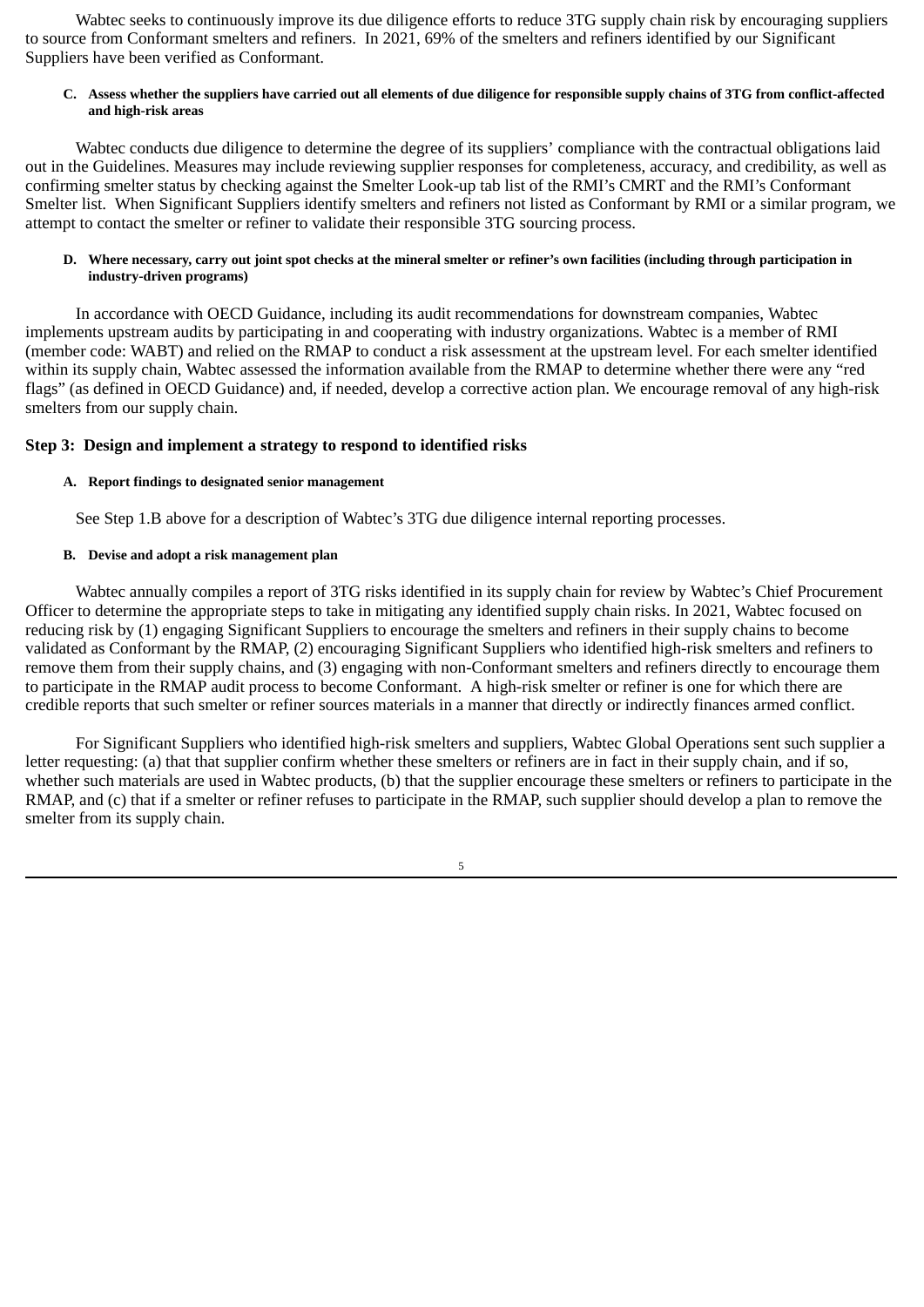Wabtec seeks to continuously improve its due diligence efforts to reduce 3TG supply chain risk by encouraging suppliers to source from Conformant smelters and refiners. In 2021, 69% of the smelters and refiners identified by our Significant Suppliers have been verified as Conformant.

#### C. Assess whether the suppliers have carried out all elements of due diligence for responsible supply chains of 3TG from conflict-affected **and high-risk areas**

Wabtec conducts due diligence to determine the degree of its suppliers' compliance with the contractual obligations laid out in the Guidelines. Measures may include reviewing supplier responses for completeness, accuracy, and credibility, as well as confirming smelter status by checking against the Smelter Look-up tab list of the RMI's CMRT and the RMI's Conformant Smelter list. When Significant Suppliers identify smelters and refiners not listed as Conformant by RMI or a similar program, we attempt to contact the smelter or refiner to validate their responsible 3TG sourcing process.

#### D. Where necessary, carry out joint spot checks at the mineral smelter or refiner's own facilities (including through participation in **industry-driven programs)**

In accordance with OECD Guidance, including its audit recommendations for downstream companies, Wabtec implements upstream audits by participating in and cooperating with industry organizations. Wabtec is a member of RMI (member code: WABT) and relied on the RMAP to conduct a risk assessment at the upstream level. For each smelter identified within its supply chain, Wabtec assessed the information available from the RMAP to determine whether there were any "red flags" (as defined in OECD Guidance) and, if needed, develop a corrective action plan. We encourage removal of any high-risk smelters from our supply chain.

## **Step 3: Design and implement a strategy to respond to identified risks**

#### **A. Report findings to designated senior management**

See Step 1.B above for a description of Wabtec's 3TG due diligence internal reporting processes.

# **B. Devise and adopt a risk management plan**

Wabtec annually compiles a report of 3TG risks identified in its supply chain for review by Wabtec's Chief Procurement Officer to determine the appropriate steps to take in mitigating any identified supply chain risks. In 2021, Wabtec focused on reducing risk by (1) engaging Significant Suppliers to encourage the smelters and refiners in their supply chains to become validated as Conformant by the RMAP, (2) encouraging Significant Suppliers who identified high-risk smelters and refiners to remove them from their supply chains, and (3) engaging with non-Conformant smelters and refiners directly to encourage them to participate in the RMAP audit process to become Conformant. A high-risk smelter or refiner is one for which there are credible reports that such smelter or refiner sources materials in a manner that directly or indirectly finances armed conflict.

For Significant Suppliers who identified high-risk smelters and suppliers, Wabtec Global Operations sent such supplier a letter requesting: (a) that that supplier confirm whether these smelters or refiners are in fact in their supply chain, and if so, whether such materials are used in Wabtec products, (b) that the supplier encourage these smelters or refiners to participate in the RMAP, and (c) that if a smelter or refiner refuses to participate in the RMAP, such supplier should develop a plan to remove the smelter from its supply chain.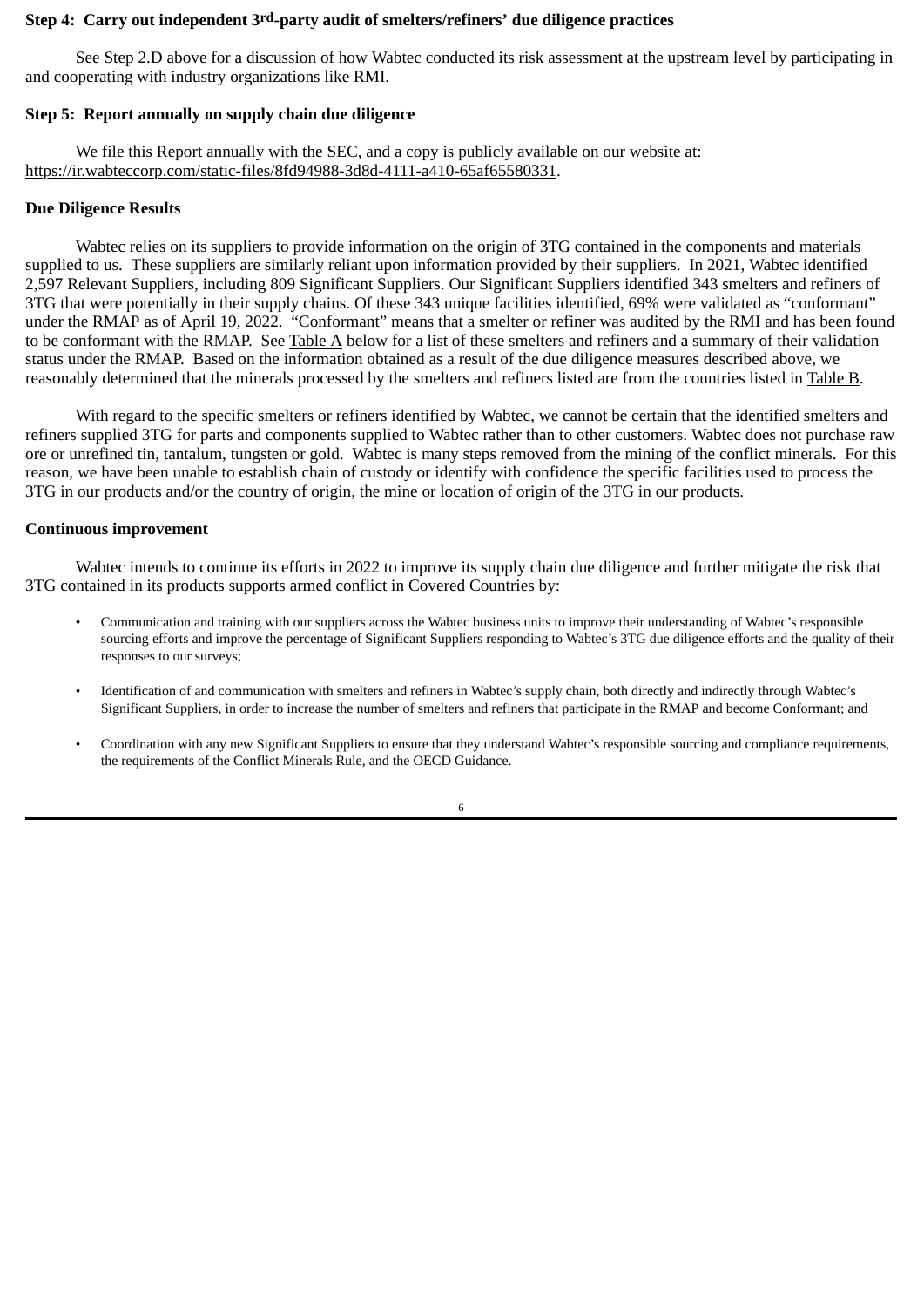#### **Step 4: Carry out independent 3rd-party audit of smelters/refiners' due diligence practices**

See Step 2.D above for a discussion of how Wabtec conducted its risk assessment at the upstream level by participating in and cooperating with industry organizations like RMI.

#### **Step 5: Report annually on supply chain due diligence**

We file this Report annually with the SEC, and a copy is publicly available on our website at: https://ir.wabteccorp.com/static-files/8fd94988-3d8d-4111-a410-65af65580331.

#### **Due Diligence Results**

Wabtec relies on its suppliers to provide information on the origin of 3TG contained in the components and materials supplied to us. These suppliers are similarly reliant upon information provided by their suppliers. In 2021, Wabtec identified 2,597 Relevant Suppliers, including 809 Significant Suppliers. Our Significant Suppliers identified 343 smelters and refiners of 3TG that were potentially in their supply chains. Of these 343 unique facilities identified, 69% were validated as "conformant" under the RMAP as of April 19, 2022. "Conformant" means that a smelter or refiner was audited by the RMI and has been found to be conformant with the RMAP. See Table A below for a list of these smelters and refiners and a summary of their validation status under the RMAP. Based on the information obtained as a result of the due diligence measures described above, we reasonably determined that the minerals processed by the smelters and refiners listed are from the countries listed in Table B.

With regard to the specific smelters or refiners identified by Wabtec, we cannot be certain that the identified smelters and refiners supplied 3TG for parts and components supplied to Wabtec rather than to other customers. Wabtec does not purchase raw ore or unrefined tin, tantalum, tungsten or gold. Wabtec is many steps removed from the mining of the conflict minerals. For this reason, we have been unable to establish chain of custody or identify with confidence the specific facilities used to process the 3TG in our products and/or the country of origin, the mine or location of origin of the 3TG in our products.

#### **Continuous improvement**

Wabtec intends to continue its efforts in 2022 to improve its supply chain due diligence and further mitigate the risk that 3TG contained in its products supports armed conflict in Covered Countries by:

- Communication and training with our suppliers across the Wabtec business units to improve their understanding of Wabtec's responsible sourcing efforts and improve the percentage of Significant Suppliers responding to Wabtec's 3TG due diligence efforts and the quality of their responses to our surveys;
- Identification of and communication with smelters and refiners in Wabtec's supply chain, both directly and indirectly through Wabtec's Significant Suppliers, in order to increase the number of smelters and refiners that participate in the RMAP and become Conformant; and
- Coordination with any new Significant Suppliers to ensure that they understand Wabtec's responsible sourcing and compliance requirements, the requirements of the Conflict Minerals Rule, and the OECD Guidance.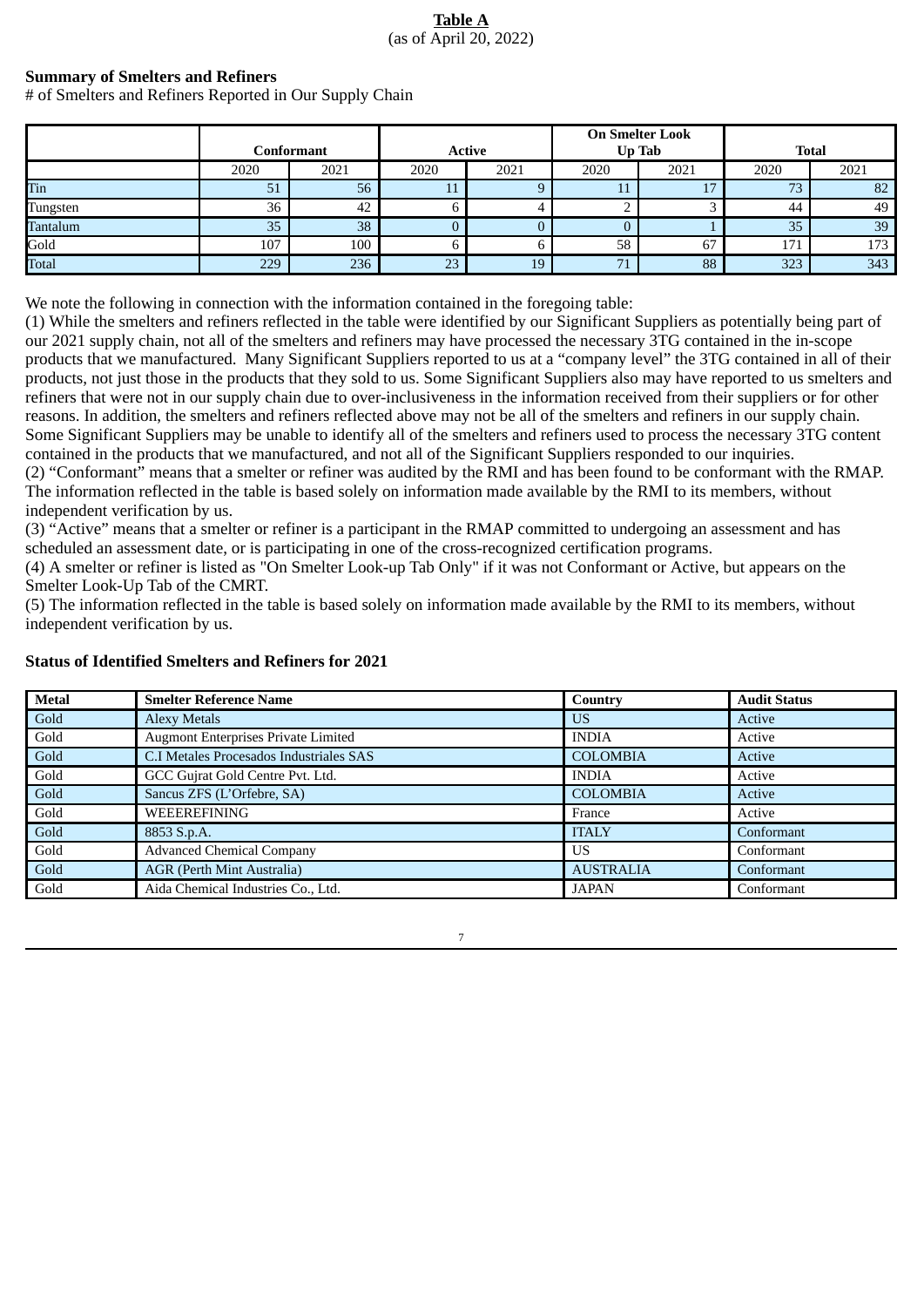# **Table A** (as of April 20, 2022)

# **Summary of Smelters and Refiners**

# of Smelters and Refiners Reported in Our Supply Chain

|          |      | Conformant |      | <b>Active</b> |      | <b>On Smelter Look</b><br>Up Tab |      | <b>Total</b> |
|----------|------|------------|------|---------------|------|----------------------------------|------|--------------|
|          | 2020 | 2021       | 2020 | 2021          | 2020 | 2021                             | 2020 | 2021         |
| Tin      | 51   | 56         | ᆂᆂ   |               | IJ   |                                  | 73   | 82           |
| Tungsten | 36   | 42         |      |               |      |                                  | 44   | 49           |
| Tantalum | 35   | 38         |      |               |      |                                  | 35   | 39           |
| Gold     | 107  | 100        |      |               | 58   | 67                               | 171  | 173          |
| Total    | 229  | 236        | 23   | 19            | 71   | 88                               | 323  | 343          |

We note the following in connection with the information contained in the foregoing table:

(1) While the smelters and refiners reflected in the table were identified by our Significant Suppliers as potentially being part of our 2021 supply chain, not all of the smelters and refiners may have processed the necessary 3TG contained in the in-scope products that we manufactured. Many Significant Suppliers reported to us at a "company level" the 3TG contained in all of their products, not just those in the products that they sold to us. Some Significant Suppliers also may have reported to us smelters and refiners that were not in our supply chain due to over-inclusiveness in the information received from their suppliers or for other reasons. In addition, the smelters and refiners reflected above may not be all of the smelters and refiners in our supply chain. Some Significant Suppliers may be unable to identify all of the smelters and refiners used to process the necessary 3TG content contained in the products that we manufactured, and not all of the Significant Suppliers responded to our inquiries.

(2) "Conformant" means that a smelter or refiner was audited by the RMI and has been found to be conformant with the RMAP. The information reflected in the table is based solely on information made available by the RMI to its members, without independent verification by us.

(3) "Active" means that a smelter or refiner is a participant in the RMAP committed to undergoing an assessment and has scheduled an assessment date, or is participating in one of the cross-recognized certification programs.

(4) A smelter or refiner is listed as "On Smelter Look-up Tab Only" if it was not Conformant or Active, but appears on the Smelter Look-Up Tab of the CMRT.

(5) The information reflected in the table is based solely on information made available by the RMI to its members, without independent verification by us.

| <b>Metal</b> | <b>Smelter Reference Name</b>              | Country          | <b>Audit Status</b> |
|--------------|--------------------------------------------|------------------|---------------------|
| Gold         | <b>Alexy Metals</b>                        | <b>US</b>        | Active              |
| Gold         | <b>Augmont Enterprises Private Limited</b> | <b>INDIA</b>     | Active              |
| Gold         | C.I Metales Procesados Industriales SAS    | <b>COLOMBIA</b>  | Active              |
| Gold         | GCC Gujrat Gold Centre Pvt. Ltd.           | <b>INDIA</b>     | Active              |
| Gold         | Sancus ZFS (L'Orfebre, SA)                 | <b>COLOMBIA</b>  | Active              |
| Gold         | WEEEREFINING                               | France           | Active              |
| Gold         | 8853 S.p.A.                                | <b>ITALY</b>     | Conformant          |
| Gold         | <b>Advanced Chemical Company</b>           | US.              | Conformant          |
| Gold         | AGR (Perth Mint Australia)                 | <b>AUSTRALIA</b> | Conformant          |
| Gold         | Aida Chemical Industries Co., Ltd.         | JAPAN            | Conformant          |

#### **Status of Identified Smelters and Refiners for 2021**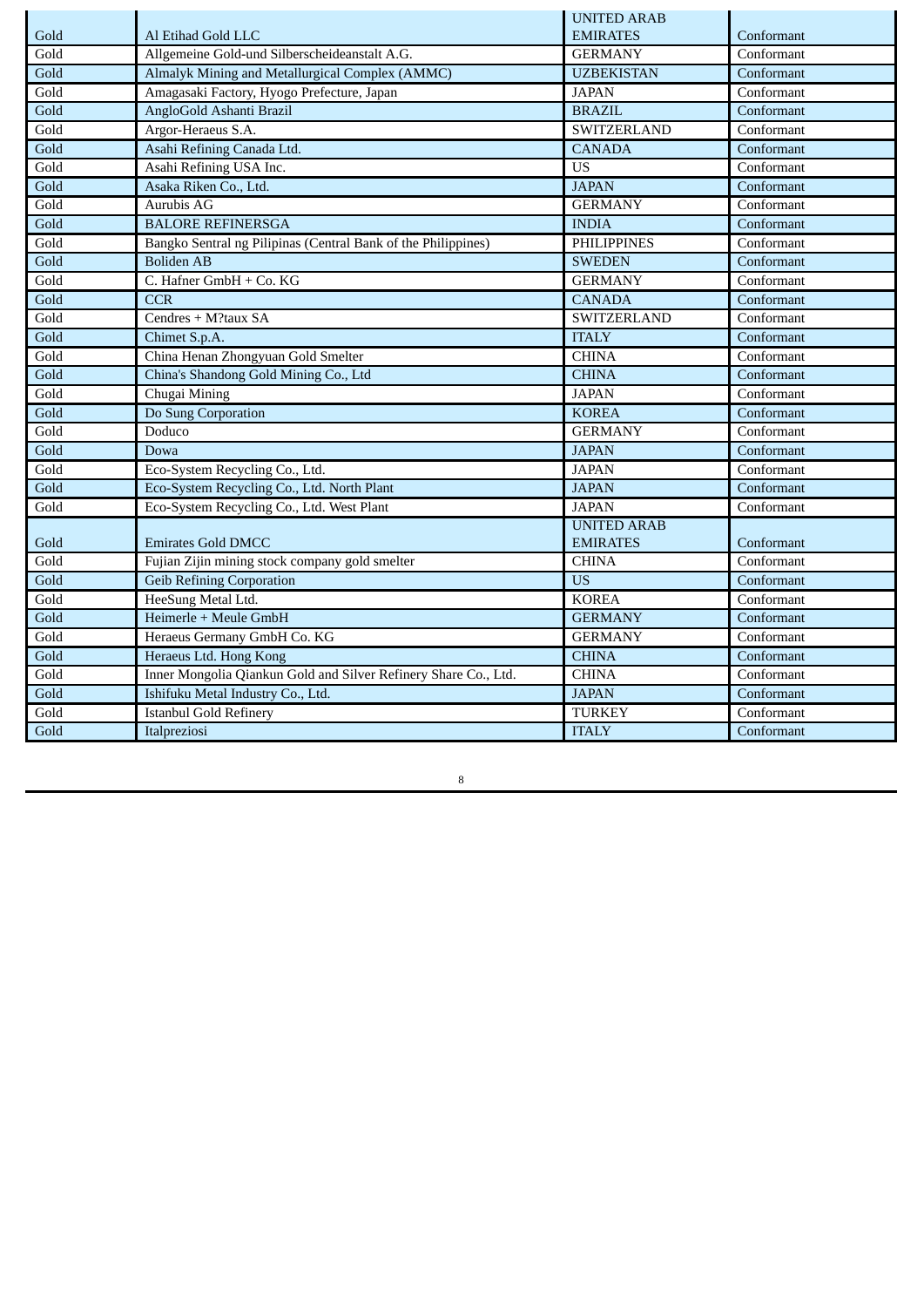|      |                                                                 | <b>UNITED ARAB</b> |            |
|------|-----------------------------------------------------------------|--------------------|------------|
| Gold | Al Etihad Gold LLC                                              | <b>EMIRATES</b>    | Conformant |
| Gold | Allgemeine Gold-und Silberscheideanstalt A.G.                   | <b>GERMANY</b>     | Conformant |
| Gold | Almalyk Mining and Metallurgical Complex (AMMC)                 | <b>UZBEKISTAN</b>  | Conformant |
| Gold | Amagasaki Factory, Hyogo Prefecture, Japan                      | <b>JAPAN</b>       | Conformant |
| Gold | AngloGold Ashanti Brazil                                        | <b>BRAZIL</b>      | Conformant |
| Gold | Argor-Heraeus S.A.                                              | SWITZERLAND        | Conformant |
| Gold | Asahi Refining Canada Ltd.                                      | <b>CANADA</b>      | Conformant |
| Gold | Asahi Refining USA Inc.                                         | <b>US</b>          | Conformant |
| Gold | Asaka Riken Co., Ltd.                                           | <b>JAPAN</b>       | Conformant |
| Gold | Aurubis AG                                                      | <b>GERMANY</b>     | Conformant |
| Gold | <b>BALORE REFINERSGA</b>                                        | <b>INDIA</b>       | Conformant |
| Gold | Bangko Sentral ng Pilipinas (Central Bank of the Philippines)   | <b>PHILIPPINES</b> | Conformant |
| Gold | <b>Boliden AB</b>                                               | <b>SWEDEN</b>      | Conformant |
| Gold | C. Hafner GmbH + Co. KG                                         | <b>GERMANY</b>     | Conformant |
| Gold | <b>CCR</b>                                                      | <b>CANADA</b>      | Conformant |
| Gold | Cendres + M?taux SA                                             | SWITZERLAND        | Conformant |
| Gold | Chimet S.p.A.                                                   | <b>ITALY</b>       | Conformant |
| Gold | China Henan Zhongyuan Gold Smelter                              | <b>CHINA</b>       | Conformant |
| Gold | China's Shandong Gold Mining Co., Ltd                           | <b>CHINA</b>       | Conformant |
| Gold | Chugai Mining                                                   | <b>JAPAN</b>       | Conformant |
| Gold | Do Sung Corporation                                             | <b>KOREA</b>       | Conformant |
| Gold | Doduco                                                          | <b>GERMANY</b>     | Conformant |
| Gold | Dowa                                                            | <b>JAPAN</b>       | Conformant |
| Gold | Eco-System Recycling Co., Ltd.                                  | <b>JAPAN</b>       | Conformant |
| Gold | Eco-System Recycling Co., Ltd. North Plant                      | <b>JAPAN</b>       | Conformant |
| Gold | Eco-System Recycling Co., Ltd. West Plant                       | <b>JAPAN</b>       | Conformant |
|      |                                                                 | <b>UNITED ARAB</b> |            |
| Gold | <b>Emirates Gold DMCC</b>                                       | <b>EMIRATES</b>    | Conformant |
| Gold | Fujian Zijin mining stock company gold smelter                  | <b>CHINA</b>       | Conformant |
| Gold | <b>Geib Refining Corporation</b>                                | <b>US</b>          | Conformant |
| Gold | HeeSung Metal Ltd.                                              | <b>KOREA</b>       | Conformant |
| Gold | Heimerle + Meule GmbH                                           | <b>GERMANY</b>     | Conformant |
| Gold | Heraeus Germany GmbH Co. KG                                     | <b>GERMANY</b>     | Conformant |
| Gold | Heraeus Ltd. Hong Kong                                          | <b>CHINA</b>       | Conformant |
| Gold | Inner Mongolia Qiankun Gold and Silver Refinery Share Co., Ltd. | <b>CHINA</b>       | Conformant |
| Gold | Ishifuku Metal Industry Co., Ltd.                               | <b>JAPAN</b>       | Conformant |
| Gold | <b>Istanbul Gold Refinery</b>                                   | <b>TURKEY</b>      | Conformant |
| Gold | Italpreziosi                                                    | <b>ITALY</b>       | Conformant |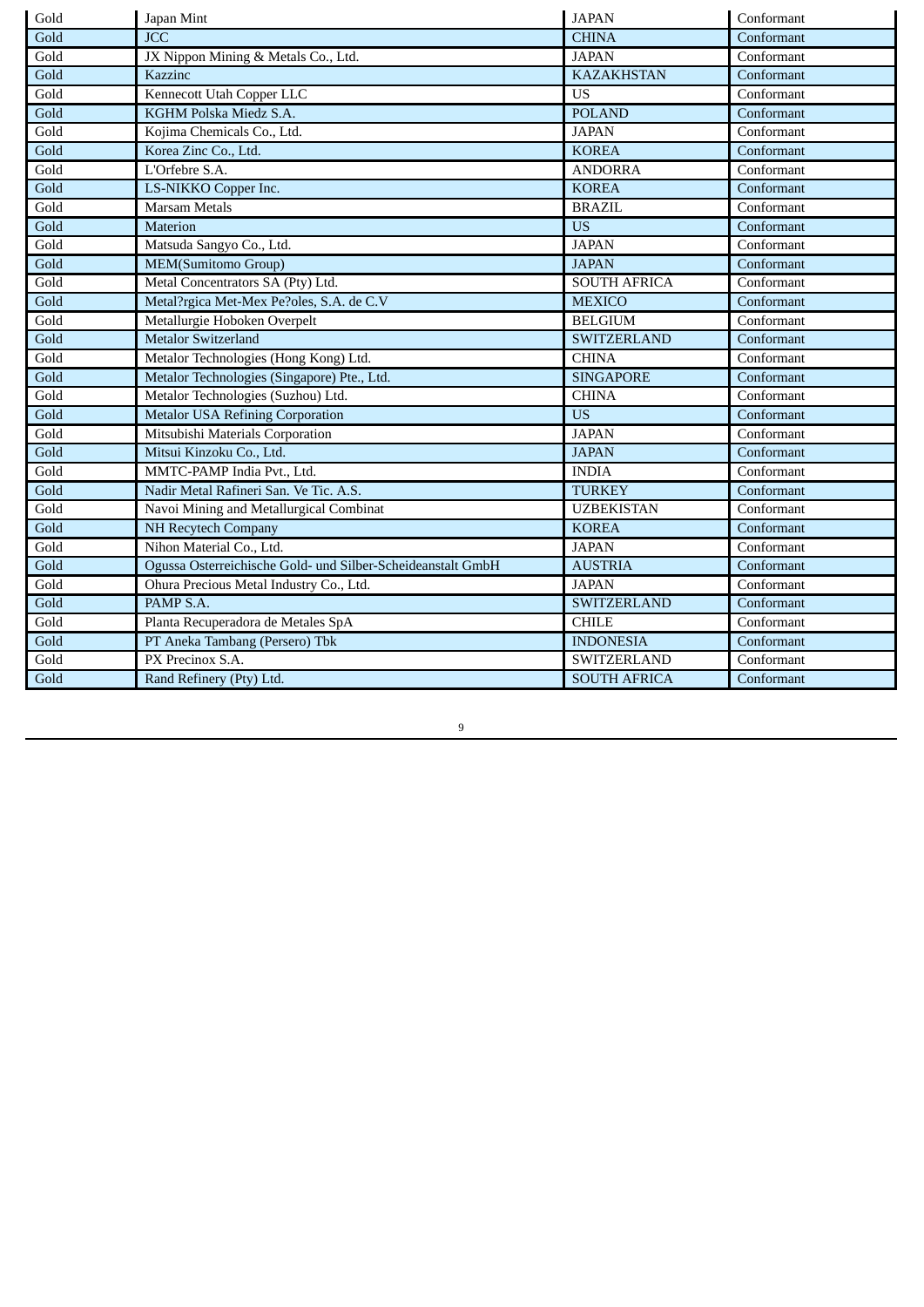| Gold | Japan Mint                                                  | <b>JAPAN</b>        | Conformant |
|------|-------------------------------------------------------------|---------------------|------------|
| Gold | <b>JCC</b>                                                  | <b>CHINA</b>        | Conformant |
| Gold | JX Nippon Mining & Metals Co., Ltd.                         | <b>JAPAN</b>        | Conformant |
| Gold | Kazzinc                                                     | <b>KAZAKHSTAN</b>   | Conformant |
| Gold | Kennecott Utah Copper LLC                                   | <b>US</b>           | Conformant |
| Gold | KGHM Polska Miedz S.A.                                      | <b>POLAND</b>       | Conformant |
| Gold | Kojima Chemicals Co., Ltd.                                  | <b>JAPAN</b>        | Conformant |
| Gold | Korea Zinc Co., Ltd.                                        | <b>KOREA</b>        | Conformant |
| Gold | L'Orfebre S.A.                                              | <b>ANDORRA</b>      | Conformant |
| Gold | LS-NIKKO Copper Inc.                                        | <b>KOREA</b>        | Conformant |
| Gold | <b>Marsam Metals</b>                                        | <b>BRAZIL</b>       | Conformant |
| Gold | Materion                                                    | <b>US</b>           | Conformant |
| Gold | Matsuda Sangyo Co., Ltd.                                    | <b>JAPAN</b>        | Conformant |
| Gold | MEM(Sumitomo Group)                                         | <b>JAPAN</b>        | Conformant |
| Gold | Metal Concentrators SA (Pty) Ltd.                           | <b>SOUTH AFRICA</b> | Conformant |
| Gold | Metal?rgica Met-Mex Pe?oles, S.A. de C.V                    | <b>MEXICO</b>       | Conformant |
| Gold | Metallurgie Hoboken Overpelt                                | <b>BELGIUM</b>      | Conformant |
| Gold | <b>Metalor Switzerland</b>                                  | <b>SWITZERLAND</b>  | Conformant |
| Gold | Metalor Technologies (Hong Kong) Ltd.                       | <b>CHINA</b>        | Conformant |
| Gold | Metalor Technologies (Singapore) Pte., Ltd.                 | <b>SINGAPORE</b>    | Conformant |
| Gold | Metalor Technologies (Suzhou) Ltd.                          | <b>CHINA</b>        | Conformant |
| Gold | <b>Metalor USA Refining Corporation</b>                     | <b>US</b>           | Conformant |
| Gold | Mitsubishi Materials Corporation                            | <b>JAPAN</b>        | Conformant |
| Gold | Mitsui Kinzoku Co., Ltd.                                    | <b>JAPAN</b>        | Conformant |
| Gold | MMTC-PAMP India Pvt., Ltd.                                  | <b>INDIA</b>        | Conformant |
| Gold | Nadir Metal Rafineri San. Ve Tic. A.S.                      | <b>TURKEY</b>       | Conformant |
| Gold | Navoi Mining and Metallurgical Combinat                     | <b>UZBEKISTAN</b>   | Conformant |
| Gold | <b>NH Recytech Company</b>                                  | <b>KOREA</b>        | Conformant |
| Gold | Nihon Material Co., Ltd.                                    | <b>JAPAN</b>        | Conformant |
| Gold | Ogussa Osterreichische Gold- und Silber-Scheideanstalt GmbH | <b>AUSTRIA</b>      | Conformant |
| Gold | Ohura Precious Metal Industry Co., Ltd.                     | <b>JAPAN</b>        | Conformant |
| Gold | PAMP S.A.                                                   | <b>SWITZERLAND</b>  | Conformant |
| Gold | Planta Recuperadora de Metales SpA                          | <b>CHILE</b>        | Conformant |
| Gold | PT Aneka Tambang (Persero) Tbk                              | <b>INDONESIA</b>    | Conformant |
| Gold | PX Precinox S.A.                                            | SWITZERLAND         | Conformant |
| Gold | Rand Refinery (Pty) Ltd.                                    | <b>SOUTH AFRICA</b> | Conformant |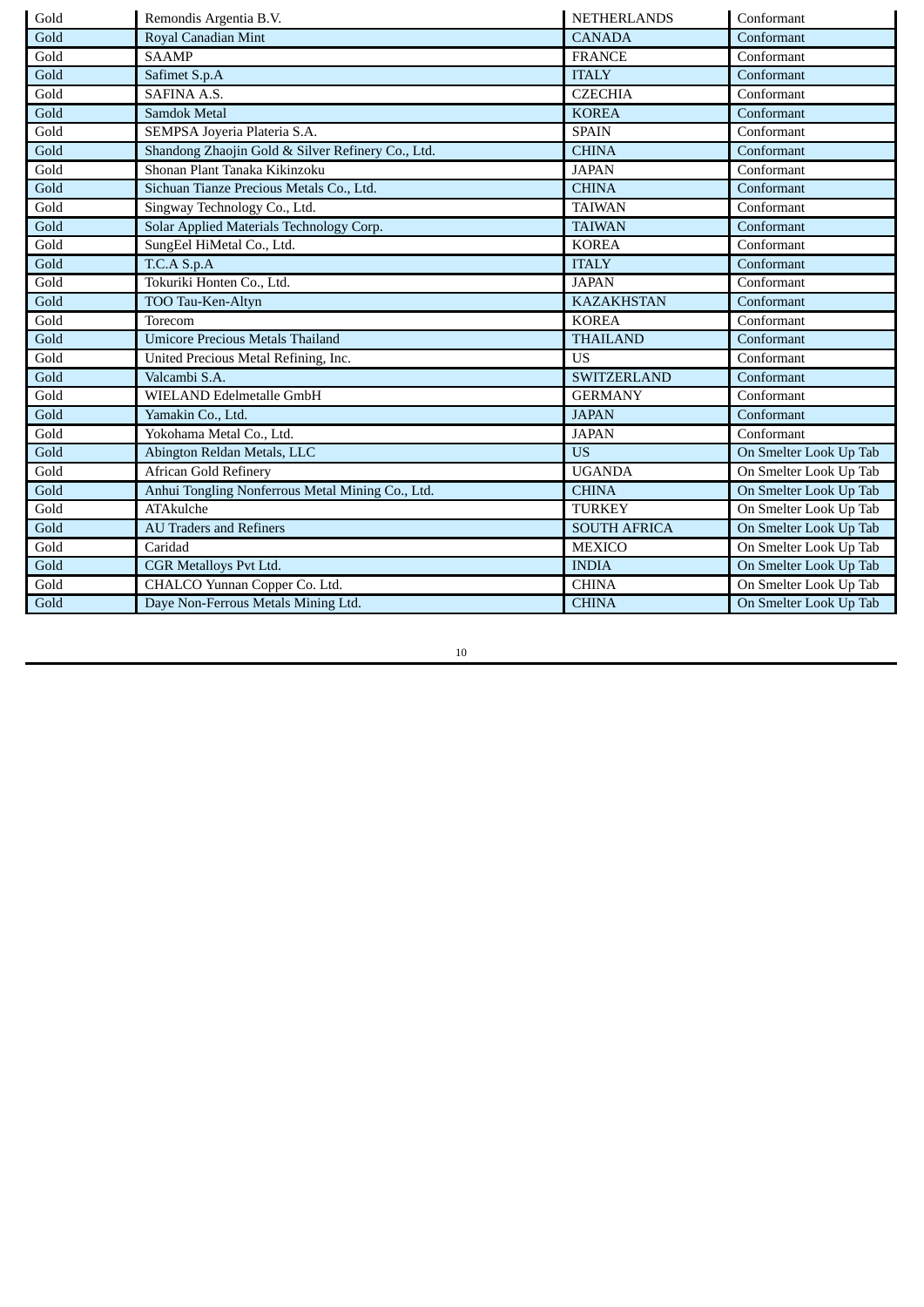| Gold | Remondis Argentia B.V.                            | <b>NETHERLANDS</b>  | Conformant             |
|------|---------------------------------------------------|---------------------|------------------------|
| Gold | Royal Canadian Mint                               | <b>CANADA</b>       | Conformant             |
| Gold | <b>SAAMP</b>                                      | <b>FRANCE</b>       | Conformant             |
| Gold | Safimet S.p.A                                     | <b>ITALY</b>        | Conformant             |
| Gold | <b>SAFINA A.S.</b>                                | <b>CZECHIA</b>      | Conformant             |
| Gold | Samdok Metal                                      | <b>KOREA</b>        | Conformant             |
| Gold | SEMPSA Joyeria Plateria S.A.                      | <b>SPAIN</b>        | Conformant             |
| Gold | Shandong Zhaojin Gold & Silver Refinery Co., Ltd. | <b>CHINA</b>        | Conformant             |
| Gold | Shonan Plant Tanaka Kikinzoku                     | <b>JAPAN</b>        | Conformant             |
| Gold | Sichuan Tianze Precious Metals Co., Ltd.          | <b>CHINA</b>        | Conformant             |
| Gold | Singway Technology Co., Ltd.                      | <b>TAIWAN</b>       | Conformant             |
| Gold | Solar Applied Materials Technology Corp.          | <b>TAIWAN</b>       | Conformant             |
| Gold | SungEel HiMetal Co., Ltd.                         | <b>KOREA</b>        | Conformant             |
| Gold | T.C.A S.p.A                                       | <b>ITALY</b>        | Conformant             |
| Gold | Tokuriki Honten Co., Ltd.                         | <b>JAPAN</b>        | Conformant             |
| Gold | TOO Tau-Ken-Altyn                                 | <b>KAZAKHSTAN</b>   | Conformant             |
| Gold | Torecom                                           | <b>KOREA</b>        | Conformant             |
| Gold | <b>Umicore Precious Metals Thailand</b>           | <b>THAILAND</b>     | Conformant             |
| Gold | United Precious Metal Refining, Inc.              | <b>US</b>           | Conformant             |
| Gold | Valcambi S.A.                                     | <b>SWITZERLAND</b>  | Conformant             |
| Gold | WIELAND Edelmetalle GmbH                          | <b>GERMANY</b>      | Conformant             |
| Gold | Yamakin Co., Ltd.                                 | <b>JAPAN</b>        | Conformant             |
| Gold | Yokohama Metal Co., Ltd.                          | <b>JAPAN</b>        | Conformant             |
| Gold | Abington Reldan Metals, LLC                       | <b>US</b>           | On Smelter Look Up Tab |
| Gold | African Gold Refinery                             | <b>UGANDA</b>       | On Smelter Look Up Tab |
| Gold | Anhui Tongling Nonferrous Metal Mining Co., Ltd.  | <b>CHINA</b>        | On Smelter Look Up Tab |
| Gold | <b>ATAkulche</b>                                  | <b>TURKEY</b>       | On Smelter Look Up Tab |
| Gold | <b>AU Traders and Refiners</b>                    | <b>SOUTH AFRICA</b> | On Smelter Look Up Tab |
| Gold | Caridad                                           | <b>MEXICO</b>       | On Smelter Look Up Tab |
| Gold | <b>CGR Metalloys Pvt Ltd.</b>                     | <b>INDIA</b>        | On Smelter Look Up Tab |
| Gold | CHALCO Yunnan Copper Co. Ltd.                     | <b>CHINA</b>        | On Smelter Look Up Tab |
| Gold | Daye Non-Ferrous Metals Mining Ltd.               | <b>CHINA</b>        | On Smelter Look Up Tab |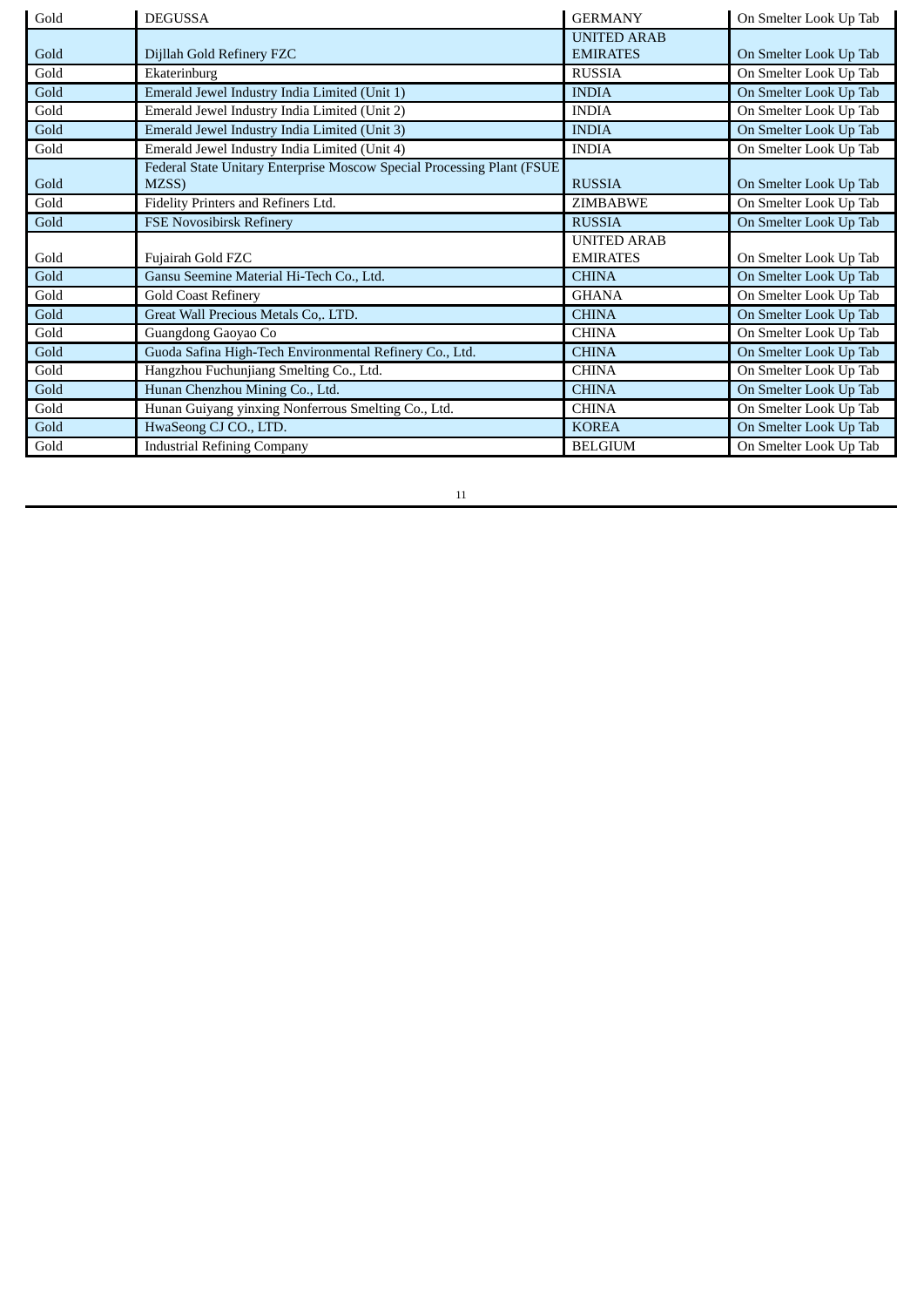| Gold | <b>DEGUSSA</b>                                                         | <b>GERMANY</b>     | On Smelter Look Up Tab |
|------|------------------------------------------------------------------------|--------------------|------------------------|
|      |                                                                        | <b>UNITED ARAB</b> |                        |
| Gold | Dijllah Gold Refinery FZC                                              | <b>EMIRATES</b>    | On Smelter Look Up Tab |
| Gold | Ekaterinburg                                                           | <b>RUSSIA</b>      | On Smelter Look Up Tab |
| Gold | Emerald Jewel Industry India Limited (Unit 1)                          | <b>INDIA</b>       | On Smelter Look Up Tab |
| Gold | Emerald Jewel Industry India Limited (Unit 2)                          | <b>INDIA</b>       | On Smelter Look Up Tab |
| Gold | Emerald Jewel Industry India Limited (Unit 3)                          | <b>INDIA</b>       | On Smelter Look Up Tab |
| Gold | Emerald Jewel Industry India Limited (Unit 4)                          | <b>INDIA</b>       | On Smelter Look Up Tab |
|      | Federal State Unitary Enterprise Moscow Special Processing Plant (FSUE |                    |                        |
| Gold | MZSS)                                                                  | <b>RUSSIA</b>      | On Smelter Look Up Tab |
| Gold | Fidelity Printers and Refiners Ltd.                                    | <b>ZIMBABWE</b>    | On Smelter Look Up Tab |
| Gold | <b>FSE Novosibirsk Refinery</b>                                        | <b>RUSSIA</b>      | On Smelter Look Up Tab |
|      |                                                                        |                    |                        |
|      |                                                                        | <b>UNITED ARAB</b> |                        |
| Gold | Fujairah Gold FZC                                                      | <b>EMIRATES</b>    | On Smelter Look Up Tab |
| Gold | Gansu Seemine Material Hi-Tech Co., Ltd.                               | <b>CHINA</b>       | On Smelter Look Up Tab |
| Gold | <b>Gold Coast Refinery</b>                                             | <b>GHANA</b>       | On Smelter Look Up Tab |
| Gold | Great Wall Precious Metals Co,. LTD.                                   | <b>CHINA</b>       | On Smelter Look Up Tab |
| Gold | Guangdong Gaoyao Co                                                    | <b>CHINA</b>       | On Smelter Look Up Tab |
| Gold | Guoda Safina High-Tech Environmental Refinery Co., Ltd.                | <b>CHINA</b>       | On Smelter Look Up Tab |
| Gold | Hangzhou Fuchunjiang Smelting Co., Ltd.                                | <b>CHINA</b>       | On Smelter Look Up Tab |
| Gold | Hunan Chenzhou Mining Co., Ltd.                                        | <b>CHINA</b>       | On Smelter Look Up Tab |
| Gold | Hunan Guiyang yinxing Nonferrous Smelting Co., Ltd.                    | <b>CHINA</b>       | On Smelter Look Up Tab |
| Gold | HwaSeong CJ CO., LTD.                                                  | <b>KOREA</b>       | On Smelter Look Up Tab |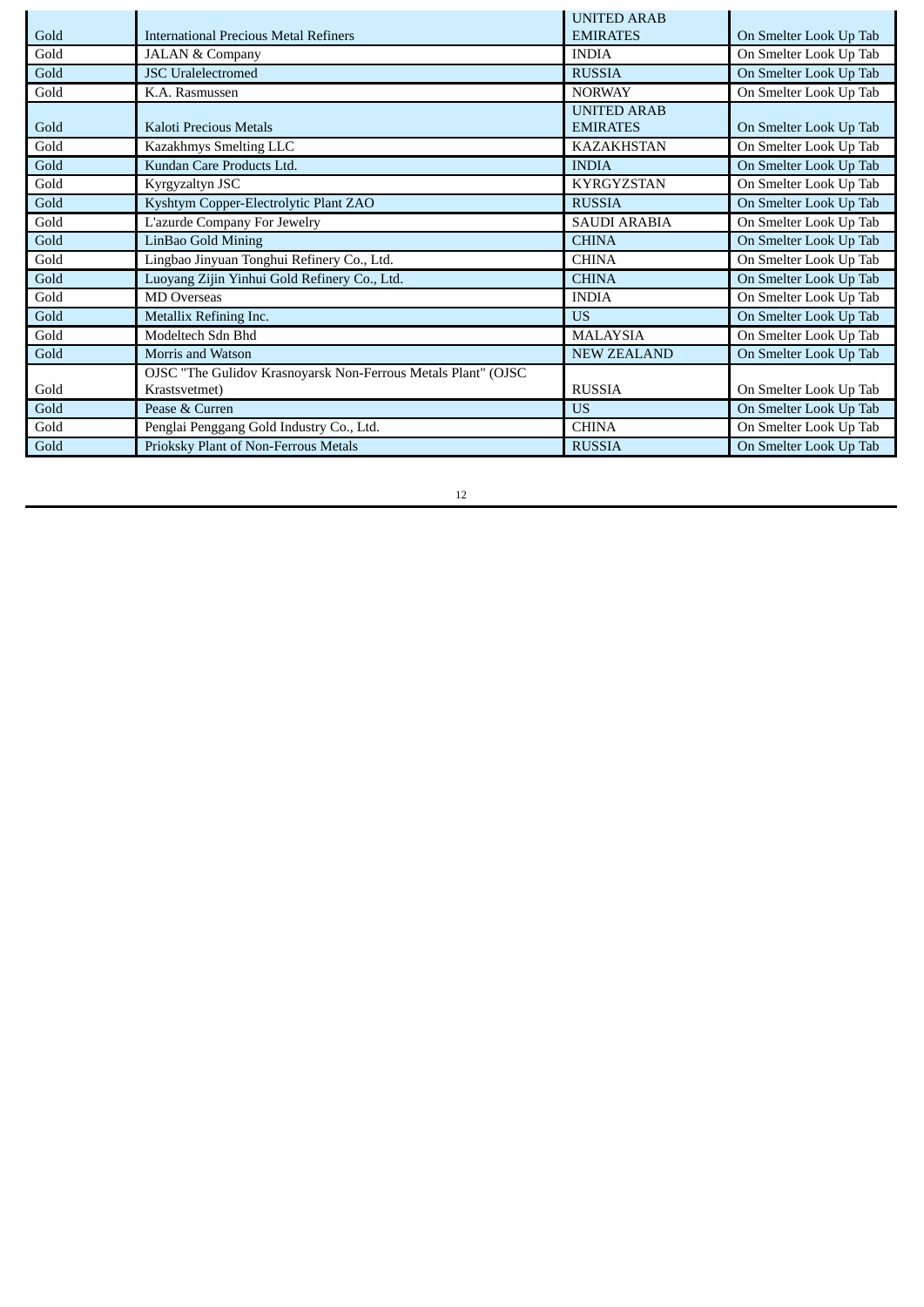|      |                                                               | <b>UNITED ARAB</b>  |                        |
|------|---------------------------------------------------------------|---------------------|------------------------|
| Gold | <b>International Precious Metal Refiners</b>                  | <b>EMIRATES</b>     | On Smelter Look Up Tab |
| Gold | <b>JALAN &amp; Company</b>                                    | <b>INDIA</b>        | On Smelter Look Up Tab |
| Gold | <b>JSC</b> Uralelectromed                                     | <b>RUSSIA</b>       | On Smelter Look Up Tab |
| Gold | K.A. Rasmussen                                                | <b>NORWAY</b>       | On Smelter Look Up Tab |
|      |                                                               | <b>UNITED ARAB</b>  |                        |
| Gold | Kaloti Precious Metals                                        | <b>EMIRATES</b>     | On Smelter Look Up Tab |
| Gold | Kazakhmys Smelting LLC                                        | <b>KAZAKHSTAN</b>   | On Smelter Look Up Tab |
| Gold | Kundan Care Products Ltd.                                     | <b>INDIA</b>        | On Smelter Look Up Tab |
| Gold | Kyrgyzaltyn JSC                                               | <b>KYRGYZSTAN</b>   | On Smelter Look Up Tab |
| Gold | Kyshtym Copper-Electrolytic Plant ZAO                         | <b>RUSSIA</b>       | On Smelter Look Up Tab |
| Gold | L'azurde Company For Jewelry                                  | <b>SAUDI ARABIA</b> | On Smelter Look Up Tab |
| Gold | LinBao Gold Mining                                            | <b>CHINA</b>        | On Smelter Look Up Tab |
| Gold | Lingbao Jinyuan Tonghui Refinery Co., Ltd.                    | <b>CHINA</b>        | On Smelter Look Up Tab |
| Gold | Luoyang Zijin Yinhui Gold Refinery Co., Ltd.                  | <b>CHINA</b>        | On Smelter Look Up Tab |
| Gold | <b>MD</b> Overseas                                            | <b>INDIA</b>        | On Smelter Look Up Tab |
| Gold | Metallix Refining Inc.                                        | <b>US</b>           | On Smelter Look Up Tab |
| Gold | Modeltech Sdn Bhd                                             | <b>MALAYSIA</b>     | On Smelter Look Up Tab |
| Gold | Morris and Watson                                             | <b>NEW ZEALAND</b>  | On Smelter Look Up Tab |
|      | OJSC "The Gulidov Krasnoyarsk Non-Ferrous Metals Plant" (OJSC |                     |                        |
| Gold | Krastsvetmet)                                                 | <b>RUSSIA</b>       | On Smelter Look Up Tab |
| Gold | Pease & Curren                                                | <b>US</b>           | On Smelter Look Up Tab |
| Gold | Penglai Penggang Gold Industry Co., Ltd.                      | <b>CHINA</b>        | On Smelter Look Up Tab |
| Gold | Prioksky Plant of Non-Ferrous Metals                          | <b>RUSSIA</b>       | On Smelter Look Up Tab |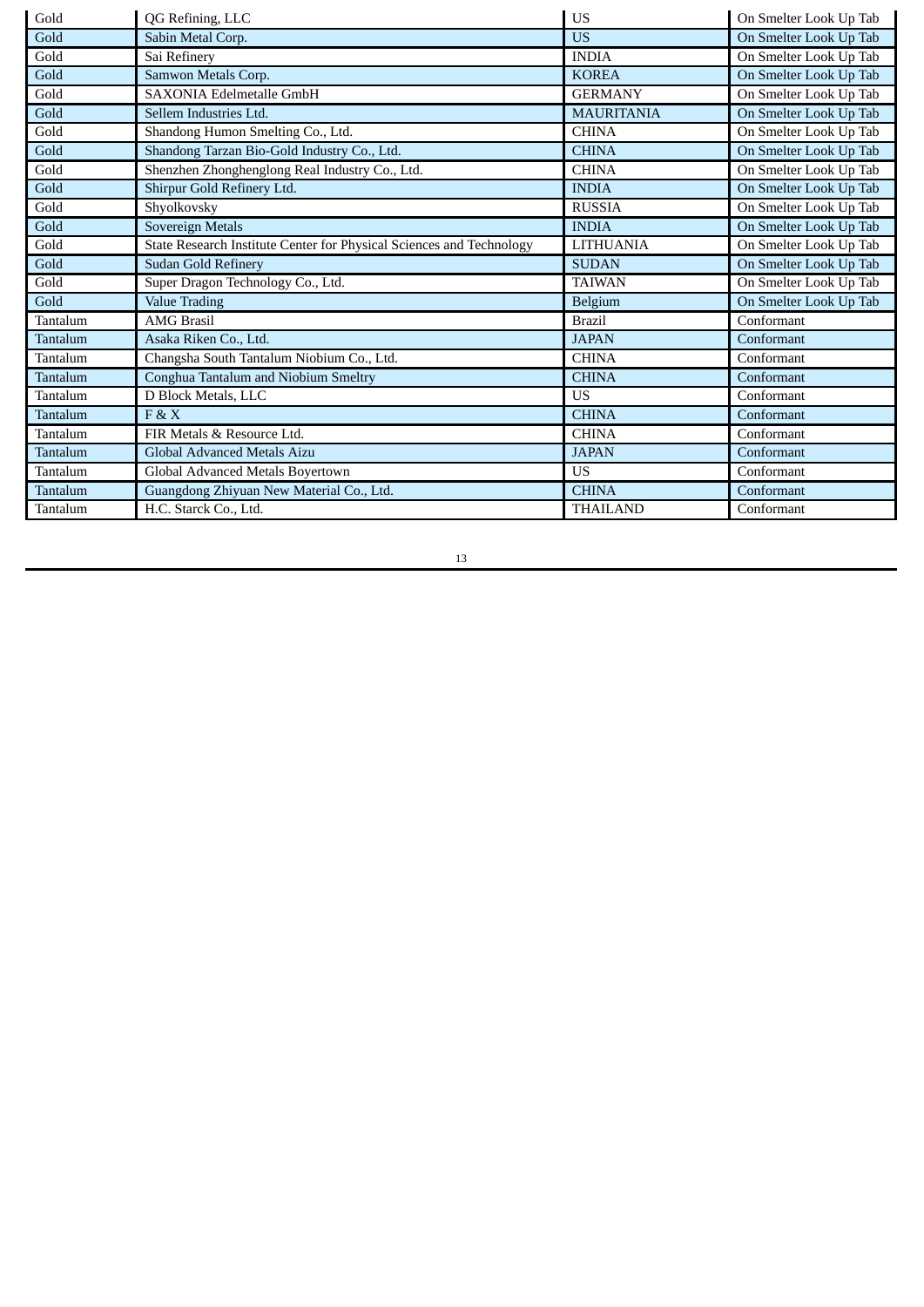| Gold            | QG Refining, LLC                                                     | <b>US</b>         | On Smelter Look Up Tab |
|-----------------|----------------------------------------------------------------------|-------------------|------------------------|
| Gold            | Sabin Metal Corp.                                                    | <b>US</b>         | On Smelter Look Up Tab |
| Gold            | Sai Refinerv                                                         | <b>INDIA</b>      | On Smelter Look Up Tab |
| Gold            | Samwon Metals Corp.                                                  | <b>KOREA</b>      | On Smelter Look Up Tab |
| Gold            | <b>SAXONIA Edelmetalle GmbH</b>                                      | <b>GERMANY</b>    | On Smelter Look Up Tab |
| Gold            | Sellem Industries Ltd.                                               | <b>MAURITANIA</b> | On Smelter Look Up Tab |
| Gold            | Shandong Humon Smelting Co., Ltd.                                    | <b>CHINA</b>      | On Smelter Look Up Tab |
| Gold            | Shandong Tarzan Bio-Gold Industry Co., Ltd.                          | <b>CHINA</b>      | On Smelter Look Up Tab |
| Gold            | Shenzhen Zhonghenglong Real Industry Co., Ltd.                       | <b>CHINA</b>      | On Smelter Look Up Tab |
| Gold            | Shirpur Gold Refinery Ltd.                                           | <b>INDIA</b>      | On Smelter Look Up Tab |
| Gold            | Shyolkovsky                                                          | <b>RUSSIA</b>     | On Smelter Look Up Tab |
| Gold            | Sovereign Metals                                                     | <b>INDIA</b>      | On Smelter Look Up Tab |
| Gold            | State Research Institute Center for Physical Sciences and Technology | <b>LITHUANIA</b>  | On Smelter Look Up Tab |
| Gold            | <b>Sudan Gold Refinery</b>                                           | <b>SUDAN</b>      | On Smelter Look Up Tab |
| Gold            | Super Dragon Technology Co., Ltd.                                    | <b>TAIWAN</b>     | On Smelter Look Up Tab |
| Gold            | <b>Value Trading</b>                                                 | Belgium           | On Smelter Look Up Tab |
| Tantalum        | <b>AMG Brasil</b>                                                    | <b>Brazil</b>     | Conformant             |
| <b>Tantalum</b> | Asaka Riken Co., Ltd.                                                | <b>JAPAN</b>      | Conformant             |
| Tantalum        | Changsha South Tantalum Niobium Co., Ltd.                            | <b>CHINA</b>      | Conformant             |
| Tantalum        | Conghua Tantalum and Niobium Smeltry                                 | <b>CHINA</b>      | Conformant             |
| Tantalum        | D Block Metals, LLC                                                  | <b>US</b>         | Conformant             |
| Tantalum        | FAX                                                                  | <b>CHINA</b>      | Conformant             |
| Tantalum        | FIR Metals & Resource Ltd.                                           | <b>CHINA</b>      | Conformant             |
| Tantalum        | Global Advanced Metals Aizu                                          | <b>JAPAN</b>      | Conformant             |
| Tantalum        | Global Advanced Metals Boyertown                                     | <b>US</b>         | Conformant             |
| Tantalum        | Guangdong Zhiyuan New Material Co., Ltd.                             | <b>CHINA</b>      | Conformant             |
| Tantalum        | H.C. Starck Co., Ltd.                                                | <b>THAILAND</b>   | Conformant             |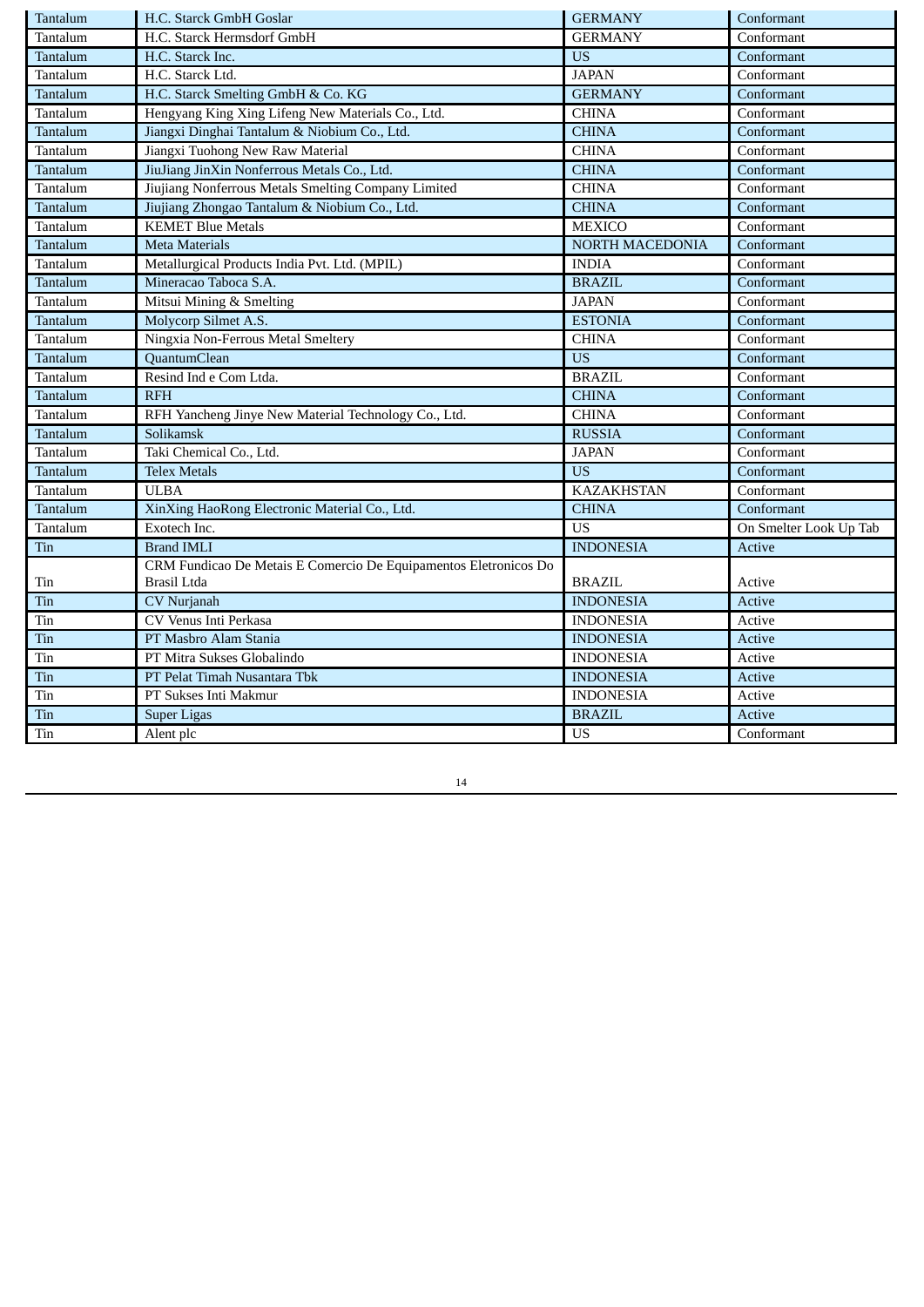| Tantalum | H.C. Starck GmbH Goslar                                          | <b>GERMANY</b>    | Conformant             |
|----------|------------------------------------------------------------------|-------------------|------------------------|
| Tantalum | H.C. Starck Hermsdorf GmbH                                       | <b>GERMANY</b>    | Conformant             |
| Tantalum | H.C. Starck Inc.                                                 | <b>US</b>         | Conformant             |
| Tantalum | H.C. Starck Ltd.                                                 | <b>JAPAN</b>      | Conformant             |
| Tantalum | H.C. Starck Smelting GmbH & Co. KG                               | <b>GERMANY</b>    | Conformant             |
| Tantalum | Hengyang King Xing Lifeng New Materials Co., Ltd.                | <b>CHINA</b>      | Conformant             |
| Tantalum | Jiangxi Dinghai Tantalum & Niobium Co., Ltd.                     | <b>CHINA</b>      | Conformant             |
| Tantalum | Jiangxi Tuohong New Raw Material                                 | <b>CHINA</b>      | Conformant             |
| Tantalum | JiuJiang JinXin Nonferrous Metals Co., Ltd.                      | <b>CHINA</b>      | Conformant             |
| Tantalum | Jiujiang Nonferrous Metals Smelting Company Limited              | <b>CHINA</b>      | Conformant             |
| Tantalum | Jiujiang Zhongao Tantalum & Niobium Co., Ltd.                    | <b>CHINA</b>      | Conformant             |
| Tantalum | <b>KEMET Blue Metals</b>                                         | <b>MEXICO</b>     | Conformant             |
| Tantalum | <b>Meta Materials</b>                                            | NORTH MACEDONIA   | Conformant             |
| Tantalum | Metallurgical Products India Pvt. Ltd. (MPIL)                    | <b>INDIA</b>      | Conformant             |
| Tantalum | Mineracao Taboca S.A.                                            | <b>BRAZIL</b>     | Conformant             |
| Tantalum | Mitsui Mining & Smelting                                         | <b>JAPAN</b>      | Conformant             |
| Tantalum | Molycorp Silmet A.S.                                             | <b>ESTONIA</b>    | Conformant             |
| Tantalum | Ningxia Non-Ferrous Metal Smeltery                               | <b>CHINA</b>      | Conformant             |
| Tantalum | QuantumClean                                                     | <b>US</b>         | Conformant             |
| Tantalum | Resind Ind e Com Ltda.                                           | <b>BRAZIL</b>     | Conformant             |
| Tantalum | <b>RFH</b>                                                       | <b>CHINA</b>      | Conformant             |
| Tantalum | RFH Yancheng Jinye New Material Technology Co., Ltd.             | <b>CHINA</b>      | Conformant             |
| Tantalum | Solikamsk                                                        | <b>RUSSIA</b>     | Conformant             |
| Tantalum | Taki Chemical Co., Ltd.                                          | <b>JAPAN</b>      | Conformant             |
| Tantalum | <b>Telex Metals</b>                                              | <b>US</b>         | Conformant             |
| Tantalum | <b>ULBA</b>                                                      | <b>KAZAKHSTAN</b> | Conformant             |
| Tantalum | XinXing HaoRong Electronic Material Co., Ltd.                    | <b>CHINA</b>      | Conformant             |
| Tantalum | Exotech Inc.                                                     | <b>US</b>         | On Smelter Look Up Tab |
| Tin      | <b>Brand IMLI</b>                                                | <b>INDONESIA</b>  | <b>Active</b>          |
|          | CRM Fundicao De Metais E Comercio De Equipamentos Eletronicos Do |                   |                        |
| Tin      | Brasil Ltda                                                      | <b>BRAZIL</b>     | Active                 |
| Tin      | CV Nurjanah                                                      | <b>INDONESIA</b>  | Active                 |
| Tin      | CV Venus Inti Perkasa                                            | <b>INDONESIA</b>  | Active                 |
| Tin      | PT Masbro Alam Stania                                            | <b>INDONESIA</b>  | <b>Active</b>          |
| Tin      | PT Mitra Sukses Globalindo                                       | <b>INDONESIA</b>  | Active                 |
| Tin      | PT Pelat Timah Nusantara Tbk                                     | <b>INDONESIA</b>  | Active                 |
| Tin      | PT Sukses Inti Makmur                                            | <b>INDONESIA</b>  | Active                 |
| Tin      | <b>Super Ligas</b>                                               | <b>BRAZIL</b>     | <b>Active</b>          |
| Tin      | Alent plc                                                        | $\overline{US}$   | Conformant             |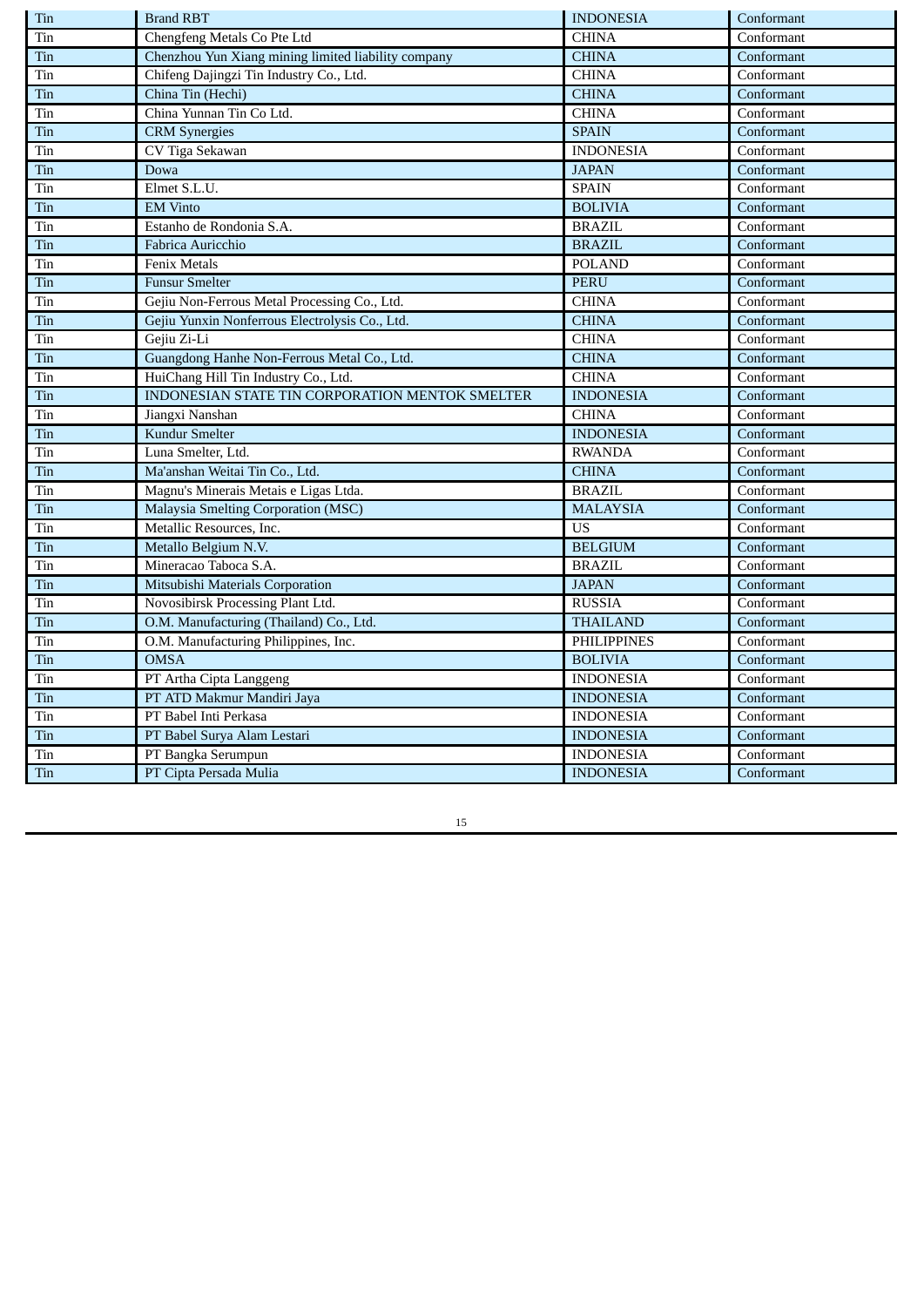| Tin | <b>Brand RBT</b>                                    | <b>INDONESIA</b>   | Conformant |
|-----|-----------------------------------------------------|--------------------|------------|
| Tin | Chengfeng Metals Co Pte Ltd                         | <b>CHINA</b>       | Conformant |
| Tin | Chenzhou Yun Xiang mining limited liability company | <b>CHINA</b>       | Conformant |
| Tin | Chifeng Dajingzi Tin Industry Co., Ltd.             | <b>CHINA</b>       | Conformant |
| Tin | China Tin (Hechi)                                   | <b>CHINA</b>       | Conformant |
| Tin | China Yunnan Tin Co Ltd.                            | <b>CHINA</b>       | Conformant |
| Tin | <b>CRM</b> Synergies                                | <b>SPAIN</b>       | Conformant |
| Tin | CV Tiga Sekawan                                     | <b>INDONESIA</b>   | Conformant |
| Tin | Dowa                                                | <b>JAPAN</b>       | Conformant |
| Tin | Elmet S.L.U.                                        | <b>SPAIN</b>       | Conformant |
| Tin | <b>EM Vinto</b>                                     | <b>BOLIVIA</b>     | Conformant |
| Tin | Estanho de Rondonia S.A.                            | <b>BRAZIL</b>      | Conformant |
| Tin | Fabrica Auricchio                                   | <b>BRAZIL</b>      | Conformant |
| Tin | Fenix Metals                                        | <b>POLAND</b>      | Conformant |
| Tin | <b>Funsur Smelter</b>                               | <b>PERU</b>        | Conformant |
| Tin | Gejiu Non-Ferrous Metal Processing Co., Ltd.        | <b>CHINA</b>       | Conformant |
| Tin | Gejiu Yunxin Nonferrous Electrolysis Co., Ltd.      | <b>CHINA</b>       | Conformant |
| Tin | Gejiu Zi-Li                                         | <b>CHINA</b>       | Conformant |
| Tin | Guangdong Hanhe Non-Ferrous Metal Co., Ltd.         | <b>CHINA</b>       | Conformant |
| Tin | HuiChang Hill Tin Industry Co., Ltd.                | <b>CHINA</b>       | Conformant |
| Tin | INDONESIAN STATE TIN CORPORATION MENTOK SMELTER     | <b>INDONESIA</b>   | Conformant |
| Tin | Jiangxi Nanshan                                     | <b>CHINA</b>       | Conformant |
| Tin | <b>Kundur Smelter</b>                               | <b>INDONESIA</b>   | Conformant |
| Tin | Luna Smelter, Ltd.                                  | <b>RWANDA</b>      | Conformant |
| Tin | Ma'anshan Weitai Tin Co., Ltd.                      | <b>CHINA</b>       | Conformant |
| Tin | Magnu's Minerais Metais e Ligas Ltda.               | <b>BRAZIL</b>      | Conformant |
| Tin | Malaysia Smelting Corporation (MSC)                 | <b>MALAYSIA</b>    | Conformant |
| Tin | Metallic Resources, Inc.                            | <b>US</b>          | Conformant |
| Tin | Metallo Belgium N.V.                                | <b>BELGIUM</b>     | Conformant |
| Tin | Mineracao Taboca S.A.                               | <b>BRAZIL</b>      | Conformant |
| Tin | Mitsubishi Materials Corporation                    | <b>JAPAN</b>       | Conformant |
| Tin | Novosibirsk Processing Plant Ltd.                   | <b>RUSSIA</b>      | Conformant |
| Tin | O.M. Manufacturing (Thailand) Co., Ltd.             | <b>THAILAND</b>    | Conformant |
| Tin | O.M. Manufacturing Philippines, Inc.                | <b>PHILIPPINES</b> | Conformant |
| Tin | <b>OMSA</b>                                         | <b>BOLIVIA</b>     | Conformant |
| Tin | PT Artha Cipta Langgeng                             | <b>INDONESIA</b>   | Conformant |
| Tin | PT ATD Makmur Mandiri Jaya                          | <b>INDONESIA</b>   | Conformant |
| Tin | PT Babel Inti Perkasa                               | <b>INDONESIA</b>   | Conformant |
| Tin | PT Babel Surya Alam Lestari                         | <b>INDONESIA</b>   | Conformant |
| Tin | PT Bangka Serumpun                                  | <b>INDONESIA</b>   | Conformant |
| Tin | PT Cipta Persada Mulia                              | <b>INDONESIA</b>   | Conformant |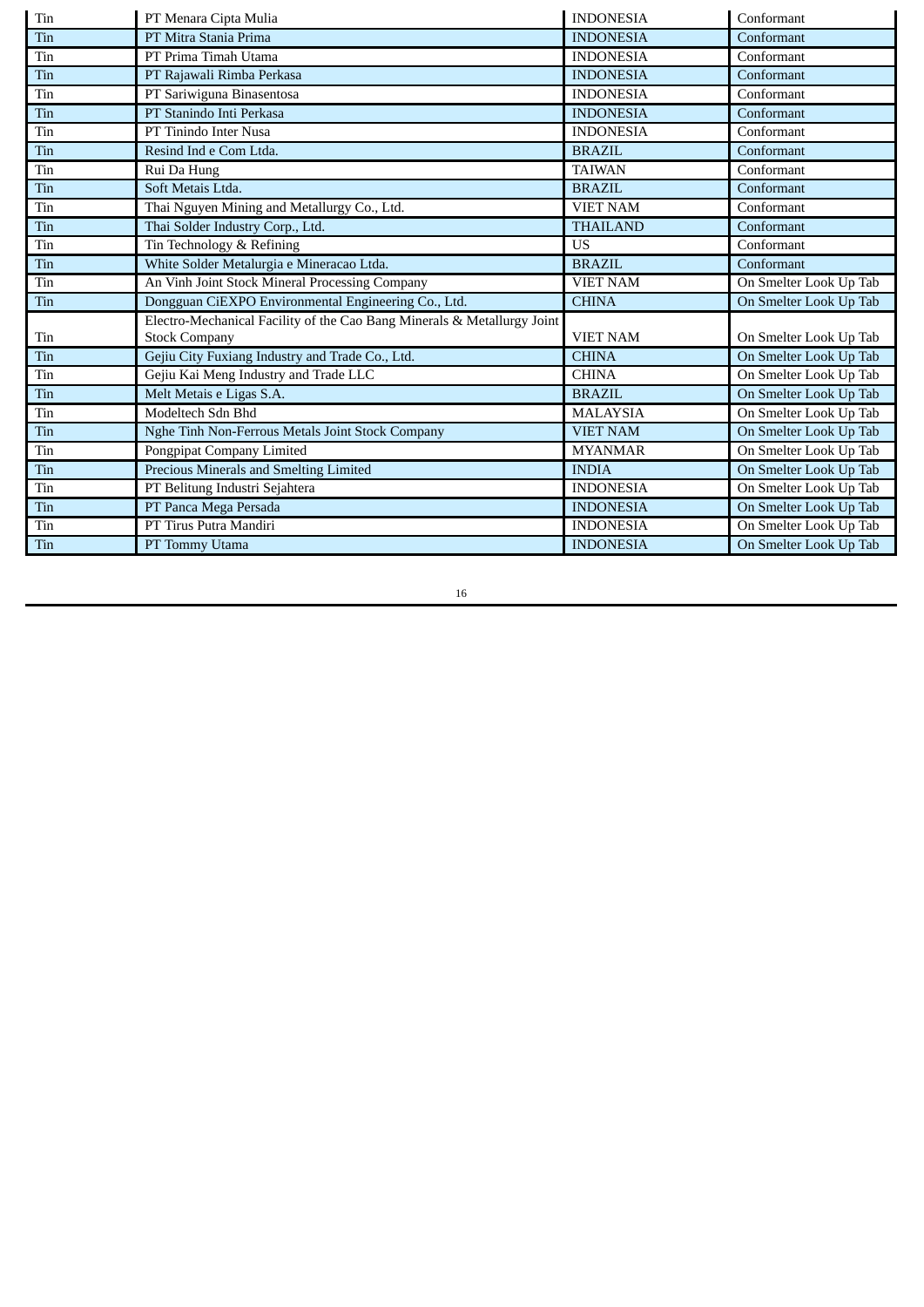| Tin                         | PT Menara Cipta Mulia                                                   | <b>INDONESIA</b> | Conformant             |
|-----------------------------|-------------------------------------------------------------------------|------------------|------------------------|
| Tin                         | PT Mitra Stania Prima                                                   | <b>INDONESIA</b> | Conformant             |
| Tin                         | PT Prima Timah Utama                                                    | <b>INDONESIA</b> | Conformant             |
| Tin                         | PT Rajawali Rimba Perkasa                                               | <b>INDONESIA</b> | Conformant             |
| Tin                         | PT Sariwiguna Binasentosa                                               | <b>INDONESIA</b> | Conformant             |
| Tin                         | PT Stanindo Inti Perkasa                                                | <b>INDONESIA</b> | Conformant             |
| Tin                         | PT Tinindo Inter Nusa                                                   | <b>INDONESIA</b> | Conformant             |
| Tin                         | Resind Ind e Com Ltda.                                                  | <b>BRAZIL</b>    | Conformant             |
| $\rm \bf \rm \it\textrm{T}$ | Rui Da Hung                                                             | <b>TAIWAN</b>    | Conformant             |
| Tin                         | Soft Metais Ltda.                                                       | <b>BRAZIL</b>    | Conformant             |
| Tin                         | Thai Nguyen Mining and Metallurgy Co., Ltd.                             | <b>VIET NAM</b>  | Conformant             |
| Tin                         | Thai Solder Industry Corp., Ltd.                                        | <b>THAILAND</b>  | Conformant             |
| Tin                         | Tin Technology & Refining                                               | <b>US</b>        | Conformant             |
| Tin                         | White Solder Metalurgia e Mineracao Ltda.                               | <b>BRAZIL</b>    | Conformant             |
| Tin                         | An Vinh Joint Stock Mineral Processing Company                          | <b>VIET NAM</b>  | On Smelter Look Up Tab |
| Tin                         | Dongguan CiEXPO Environmental Engineering Co., Ltd.                     | <b>CHINA</b>     | On Smelter Look Up Tab |
|                             | Electro-Mechanical Facility of the Cao Bang Minerals & Metallurgy Joint |                  |                        |
| Tin                         | <b>Stock Company</b>                                                    | <b>VIET NAM</b>  | On Smelter Look Up Tab |
| Tin                         | Gejiu City Fuxiang Industry and Trade Co., Ltd.                         | <b>CHINA</b>     | On Smelter Look Up Tab |
| $\rm \bf \rm \it\textrm{T}$ | Gejiu Kai Meng Industry and Trade LLC                                   | <b>CHINA</b>     | On Smelter Look Up Tab |
| Tin                         | Melt Metais e Ligas S.A.                                                | <b>BRAZIL</b>    | On Smelter Look Up Tab |
| Tin                         | Modeltech Sdn Bhd                                                       | <b>MALAYSIA</b>  | On Smelter Look Up Tab |
| Tin                         | Nghe Tinh Non-Ferrous Metals Joint Stock Company                        | <b>VIET NAM</b>  | On Smelter Look Up Tab |
| Tin                         | Pongpipat Company Limited                                               | <b>MYANMAR</b>   | On Smelter Look Up Tab |
| Tin                         | Precious Minerals and Smelting Limited                                  | <b>INDIA</b>     | On Smelter Look Up Tab |
| Tin                         | PT Belitung Industri Sejahtera                                          | <b>INDONESIA</b> | On Smelter Look Up Tab |
| Tin                         | PT Panca Mega Persada                                                   | <b>INDONESIA</b> | On Smelter Look Up Tab |
| Tin                         | PT Tirus Putra Mandiri                                                  | <b>INDONESIA</b> | On Smelter Look Up Tab |
| Tin                         | PT Tommy Utama                                                          | <b>INDONESIA</b> | On Smelter Look Up Tab |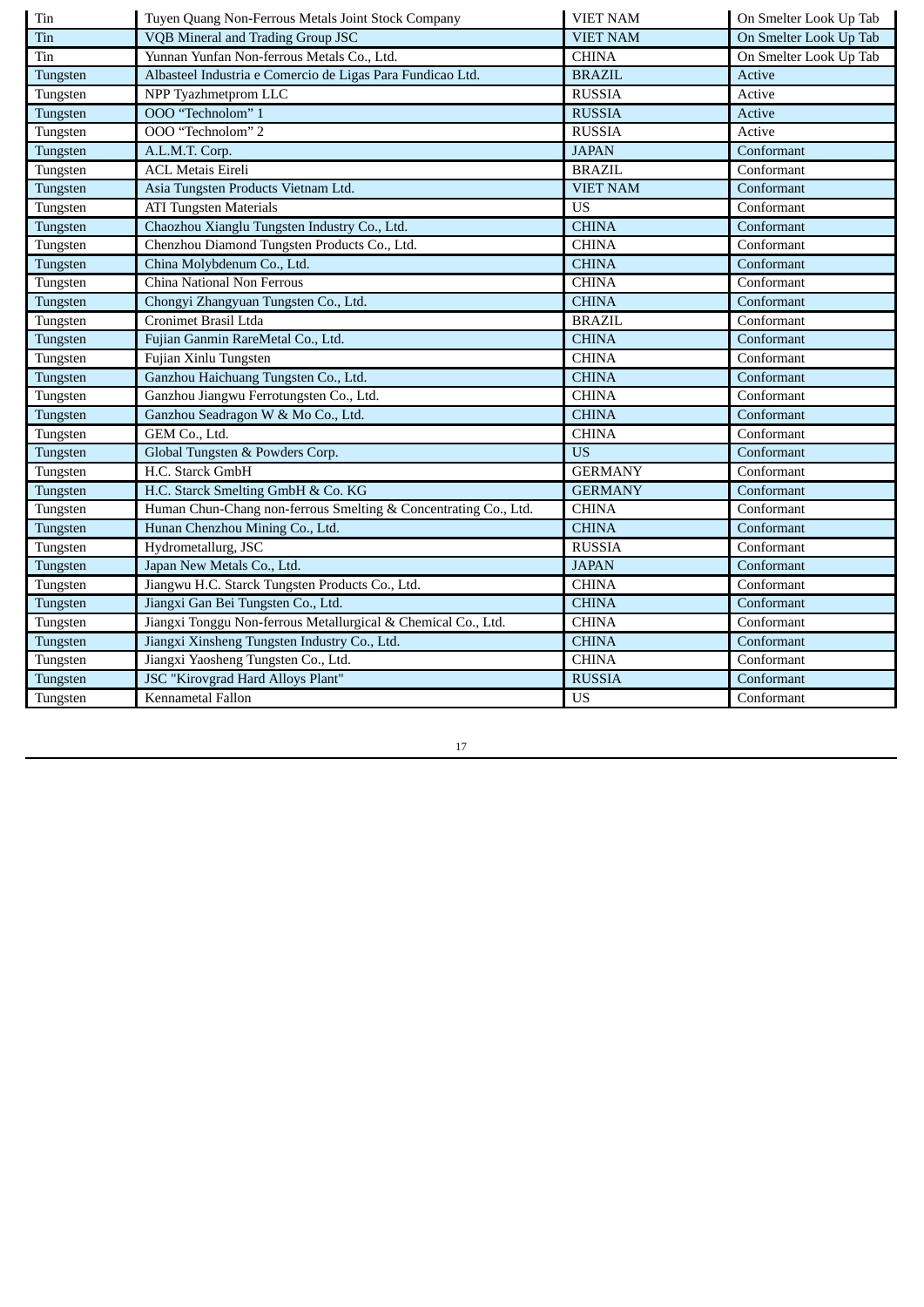| Tin      | Tuyen Quang Non-Ferrous Metals Joint Stock Company              | <b>VIET NAM</b> | On Smelter Look Up Tab |
|----------|-----------------------------------------------------------------|-----------------|------------------------|
| Tin      | VQB Mineral and Trading Group JSC                               | <b>VIET NAM</b> | On Smelter Look Up Tab |
| Tin      | Yunnan Yunfan Non-ferrous Metals Co., Ltd.                      | <b>CHINA</b>    | On Smelter Look Up Tab |
| Tungsten | Albasteel Industria e Comercio de Ligas Para Fundicao Ltd.      | <b>BRAZIL</b>   | Active                 |
| Tungsten | NPP Tyazhmetprom LLC                                            | <b>RUSSIA</b>   | Active                 |
| Tungsten | OOO "Technolom" 1                                               | <b>RUSSIA</b>   | Active                 |
| Tungsten | OOO "Technolom" 2                                               | <b>RUSSIA</b>   | Active                 |
| Tungsten | A.L.M.T. Corp.                                                  | <b>JAPAN</b>    | Conformant             |
| Tungsten | <b>ACL Metais Eireli</b>                                        | <b>BRAZIL</b>   | Conformant             |
| Tungsten | Asia Tungsten Products Vietnam Ltd.                             | <b>VIET NAM</b> | Conformant             |
| Tungsten | <b>ATI Tungsten Materials</b>                                   | <b>US</b>       | Conformant             |
| Tungsten | Chaozhou Xianglu Tungsten Industry Co., Ltd.                    | <b>CHINA</b>    | Conformant             |
| Tungsten | Chenzhou Diamond Tungsten Products Co., Ltd.                    | <b>CHINA</b>    | Conformant             |
| Tungsten | China Molybdenum Co., Ltd.                                      | <b>CHINA</b>    | Conformant             |
| Tungsten | China National Non Ferrous                                      | <b>CHINA</b>    | Conformant             |
| Tungsten | Chongyi Zhangyuan Tungsten Co., Ltd.                            | <b>CHINA</b>    | Conformant             |
| Tungsten | Cronimet Brasil Ltda                                            | <b>BRAZIL</b>   | Conformant             |
| Tungsten | Fujian Ganmin RareMetal Co., Ltd.                               | <b>CHINA</b>    | Conformant             |
| Tungsten | Fujian Xinlu Tungsten                                           | <b>CHINA</b>    | Conformant             |
| Tungsten | Ganzhou Haichuang Tungsten Co., Ltd.                            | <b>CHINA</b>    | Conformant             |
| Tungsten | Ganzhou Jiangwu Ferrotungsten Co., Ltd.                         | <b>CHINA</b>    | Conformant             |
| Tungsten | Ganzhou Seadragon W & Mo Co., Ltd.                              | <b>CHINA</b>    | Conformant             |
| Tungsten | GEM Co., Ltd.                                                   | <b>CHINA</b>    | Conformant             |
| Tungsten | Global Tungsten & Powders Corp.                                 | $\overline{US}$ | Conformant             |
| Tungsten | H.C. Starck GmbH                                                | <b>GERMANY</b>  | Conformant             |
| Tungsten | H.C. Starck Smelting GmbH & Co. KG                              | <b>GERMANY</b>  | Conformant             |
| Tungsten | Human Chun-Chang non-ferrous Smelting & Concentrating Co., Ltd. | <b>CHINA</b>    | Conformant             |
| Tungsten | Hunan Chenzhou Mining Co., Ltd.                                 | <b>CHINA</b>    | Conformant             |
| Tungsten | Hydrometallurg, JSC                                             | <b>RUSSIA</b>   | Conformant             |
| Tungsten | Japan New Metals Co., Ltd.                                      | <b>JAPAN</b>    | Conformant             |
| Tungsten | Jiangwu H.C. Starck Tungsten Products Co., Ltd.                 | <b>CHINA</b>    | Conformant             |
| Tungsten | Jiangxi Gan Bei Tungsten Co., Ltd.                              | <b>CHINA</b>    | Conformant             |
| Tungsten | Jiangxi Tonggu Non-ferrous Metallurgical & Chemical Co., Ltd.   | <b>CHINA</b>    | Conformant             |
| Tungsten | Jiangxi Xinsheng Tungsten Industry Co., Ltd.                    | <b>CHINA</b>    | Conformant             |
| Tungsten | Jiangxi Yaosheng Tungsten Co., Ltd.                             | <b>CHINA</b>    | Conformant             |
| Tungsten | <b>JSC "Kirovgrad Hard Alloys Plant"</b>                        | <b>RUSSIA</b>   | Conformant             |
| Tungsten | Kennametal Fallon                                               | $\overline{US}$ | Conformant             |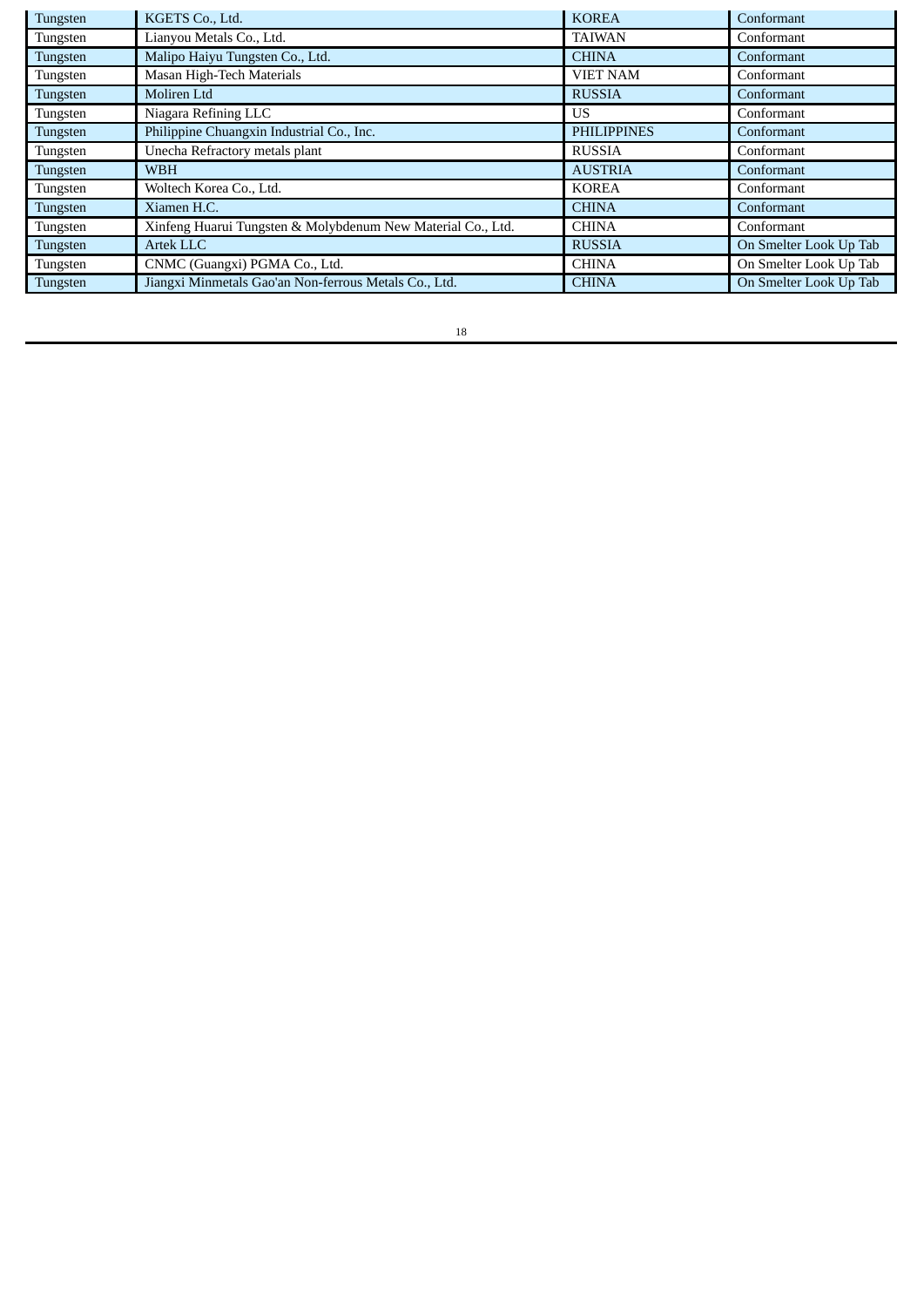| Tungsten | KGETS Co., Ltd.                                             | <b>KOREA</b>       | Conformant             |
|----------|-------------------------------------------------------------|--------------------|------------------------|
| Tungsten | Lianyou Metals Co., Ltd.                                    | <b>TAIWAN</b>      | Conformant             |
| Tungsten | Malipo Haiyu Tungsten Co., Ltd.                             | <b>CHINA</b>       | Conformant             |
| Tungsten | Masan High-Tech Materials                                   | <b>VIET NAM</b>    | Conformant             |
| Tungsten | Moliren Ltd                                                 | <b>RUSSIA</b>      | Conformant             |
| Tungsten | Niagara Refining LLC                                        | US                 | Conformant             |
| Tungsten | Philippine Chuangxin Industrial Co., Inc.                   | <b>PHILIPPINES</b> | Conformant             |
| Tungsten | Unecha Refractory metals plant                              | <b>RUSSIA</b>      | Conformant             |
| Tungsten | <b>WBH</b>                                                  | <b>AUSTRIA</b>     | Conformant             |
| Tungsten | Woltech Korea Co., Ltd.                                     | <b>KOREA</b>       | Conformant             |
| Tungsten | Xiamen H.C.                                                 | <b>CHINA</b>       | Conformant             |
| Tungsten | Xinfeng Huarui Tungsten & Molybdenum New Material Co., Ltd. | <b>CHINA</b>       | Conformant             |
| Tungsten | Artek LLC                                                   | <b>RUSSIA</b>      | On Smelter Look Up Tab |
| Tungsten | CNMC (Guangxi) PGMA Co., Ltd.                               | <b>CHINA</b>       | On Smelter Look Up Tab |
| Tungsten | Jiangxi Minmetals Gao'an Non-ferrous Metals Co., Ltd.       | <b>CHINA</b>       | On Smelter Look Up Tab |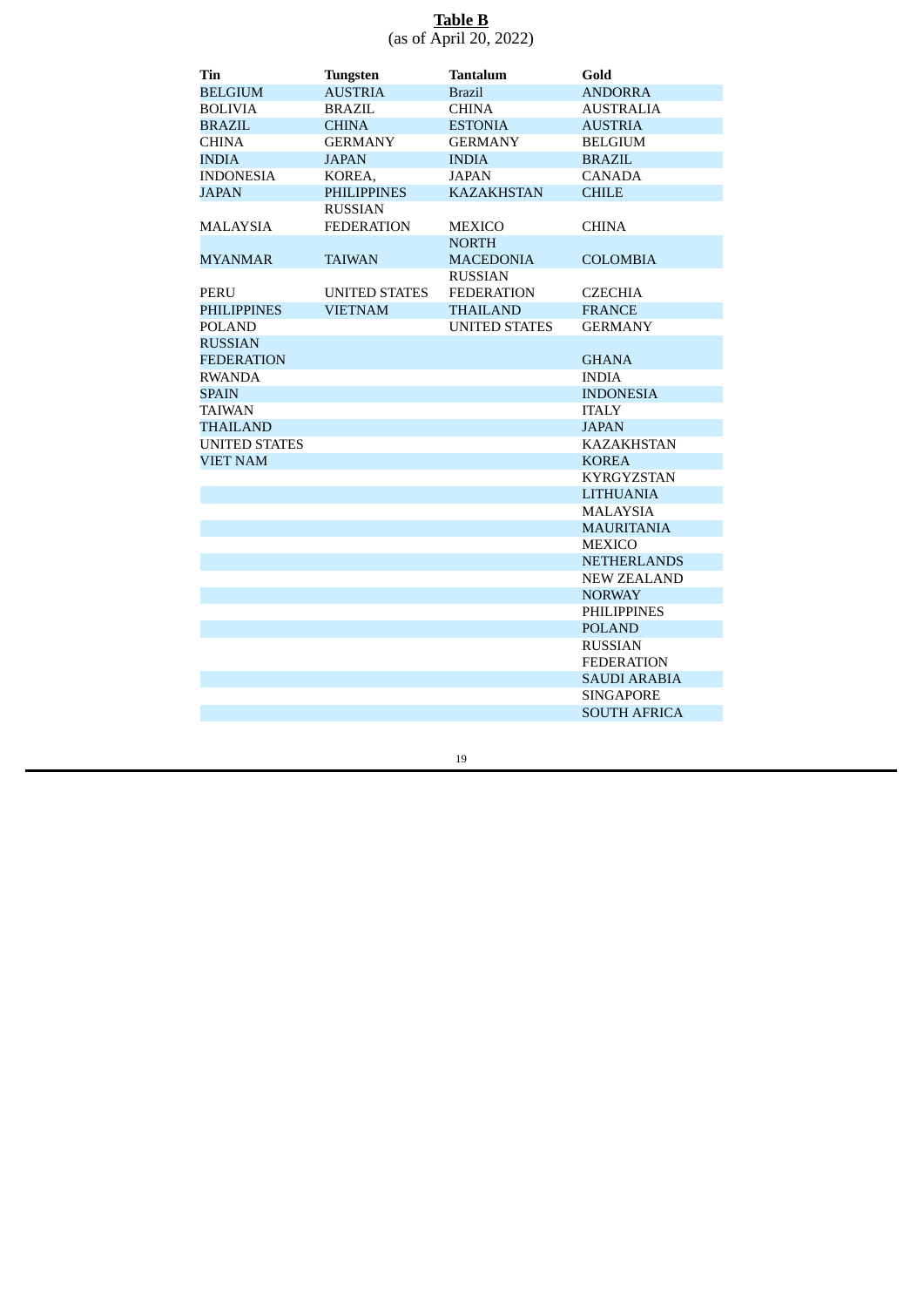# **Table B** (as of April 20, 2022)

| Tin                  | <b>Tungsten</b>      | Tantalum             | Gold                |
|----------------------|----------------------|----------------------|---------------------|
| <b>BELGIUM</b>       | <b>AUSTRIA</b>       | <b>Brazil</b>        | <b>ANDORRA</b>      |
| BOLIVIA              | <b>BRAZIL</b>        | <b>CHINA</b>         | AUSTRALIA           |
| <b>BRAZIL</b>        | <b>CHINA</b>         | <b>ESTONIA</b>       | <b>AUSTRIA</b>      |
| CHINA                | <b>GERMANY</b>       | <b>GERMANY</b>       | <b>BELGIUM</b>      |
| <b>INDIA</b>         | <b>JAPAN</b>         | <b>INDIA</b>         | <b>BRAZIL</b>       |
| <b>INDONESIA</b>     | KOREA,               | <b>JAPAN</b>         | <b>CANADA</b>       |
| <b>JAPAN</b>         | <b>PHILIPPINES</b>   | <b>KAZAKHSTAN</b>    | <b>CHILE</b>        |
|                      | <b>RUSSIAN</b>       |                      |                     |
| MALAYSIA             | <b>FEDERATION</b>    | <b>MEXICO</b>        | <b>CHINA</b>        |
|                      |                      | <b>NORTH</b>         |                     |
| <b>MYANMAR</b>       | <b>TAIWAN</b>        | <b>MACEDONIA</b>     | <b>COLOMBIA</b>     |
|                      |                      | <b>RUSSIAN</b>       |                     |
| PERU                 | <b>UNITED STATES</b> | <b>FEDERATION</b>    | <b>CZECHIA</b>      |
| <b>PHILIPPINES</b>   | <b>VIETNAM</b>       | <b>THAILAND</b>      | <b>FRANCE</b>       |
| <b>POLAND</b>        |                      | <b>UNITED STATES</b> | <b>GERMANY</b>      |
| <b>RUSSIAN</b>       |                      |                      |                     |
| FEDERATION           |                      |                      | <b>GHANA</b>        |
| <b>RWANDA</b>        |                      |                      | <b>INDIA</b>        |
| SPAIN                |                      |                      | <b>INDONESIA</b>    |
| <b>TAIWAN</b>        |                      |                      | <b>ITALY</b>        |
| <b>THAILAND</b>      |                      |                      | <b>JAPAN</b>        |
| <b>UNITED STATES</b> |                      |                      | <b>KAZAKHSTAN</b>   |
| <b>VIET NAM</b>      |                      |                      | <b>KOREA</b>        |
|                      |                      |                      | <b>KYRGYZSTAN</b>   |
|                      |                      |                      | <b>LITHUANIA</b>    |
|                      |                      |                      | <b>MALAYSIA</b>     |
|                      |                      |                      | <b>MAURITANIA</b>   |
|                      |                      |                      | <b>MEXICO</b>       |
|                      |                      |                      | <b>NETHERLANDS</b>  |
|                      |                      |                      | <b>NEW ZEALAND</b>  |
|                      |                      |                      | <b>NORWAY</b>       |
|                      |                      |                      | <b>PHILIPPINES</b>  |
|                      |                      |                      | <b>POLAND</b>       |
|                      |                      |                      | <b>RUSSIAN</b>      |
|                      |                      |                      | <b>FEDERATION</b>   |
|                      |                      |                      | <b>SAUDI ARABIA</b> |
|                      |                      |                      | <b>SINGAPORE</b>    |
|                      |                      |                      | <b>SOUTH AFRICA</b> |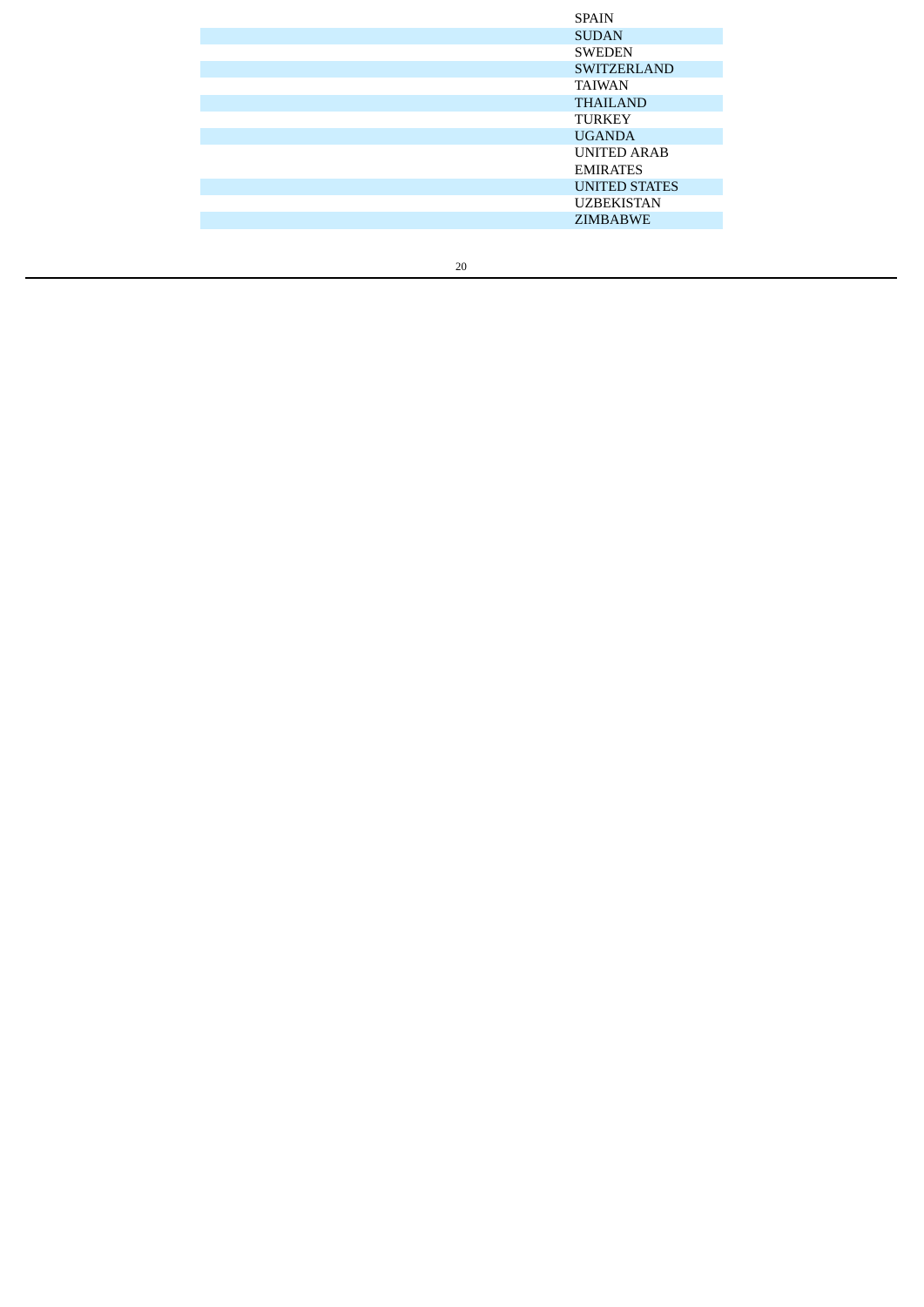| <b>SPAIN</b>         |
|----------------------|
| <b>SUDAN</b>         |
| <b>SWEDEN</b>        |
| <b>SWITZERLAND</b>   |
| <b>TAIWAN</b>        |
| <b>THAILAND</b>      |
| <b>TURKEY</b>        |
| <b>UGANDA</b>        |
| <b>UNITED ARAB</b>   |
| <b>EMIRATES</b>      |
| <b>UNITED STATES</b> |
| <b>UZBEKISTAN</b>    |
| <b>ZIMBABWE</b>      |
|                      |